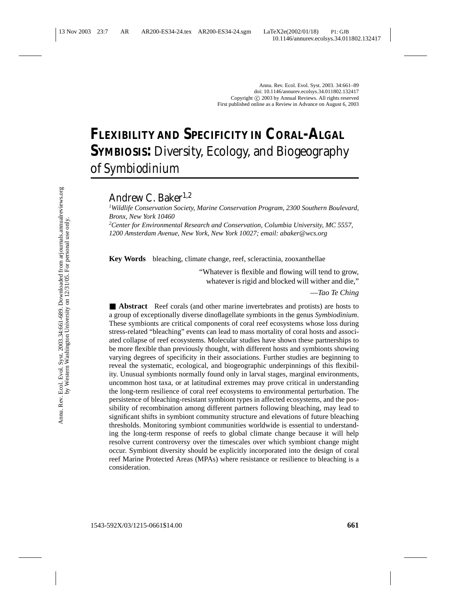## **FLEXIBILITY AND SPECIFICITY IN CORAL-ALGAL SYMBIOSIS:** Diversity, Ecology, and Biogeography of *Symbiodinium*

Andrew C. Baker<sup>1,2</sup>

*1 Wildlife Conservation Society, Marine Conservation Program, 2300 Southern Boulevard, Bronx, New York 10460 2 Center for Environmental Research and Conservation, Columbia University, MC 5557, 1200 Amsterdam Avenue, New York, New York 10027; email: abaker@wcs.org*

**Key Words** bleaching, climate change, reef, scleractinia, zooxanthellae

"Whatever is flexible and flowing will tend to grow, whatever is rigid and blocked will wither and die,"

—*Tao Te Ching*

■ **Abstract** Reef corals (and other marine invertebrates and protists) are hosts to a group of exceptionally diverse dinoflagellate symbionts in the genus *Symbiodinium*. These symbionts are critical components of coral reef ecosystems whose loss during stress-related "bleaching" events can lead to mass mortality of coral hosts and associated collapse of reef ecosystems. Molecular studies have shown these partnerships to be more flexible than previously thought, with different hosts and symbionts showing varying degrees of specificity in their associations. Further studies are beginning to reveal the systematic, ecological, and biogeographic underpinnings of this flexibility. Unusual symbionts normally found only in larval stages, marginal environments, uncommon host taxa, or at latitudinal extremes may prove critical in understanding the long-term resilience of coral reef ecosystems to environmental perturbation. The persistence of bleaching-resistant symbiont types in affected ecosystems, and the possibility of recombination among different partners following bleaching, may lead to significant shifts in symbiont community structure and elevations of future bleaching thresholds. Monitoring symbiont communities worldwide is essential to understanding the long-term response of reefs to global climate change because it will help resolve current controversy over the timescales over which symbiont change might occur. Symbiont diversity should be explicitly incorporated into the design of coral reef Marine Protected Areas (MPAs) where resistance or resilience to bleaching is a consideration.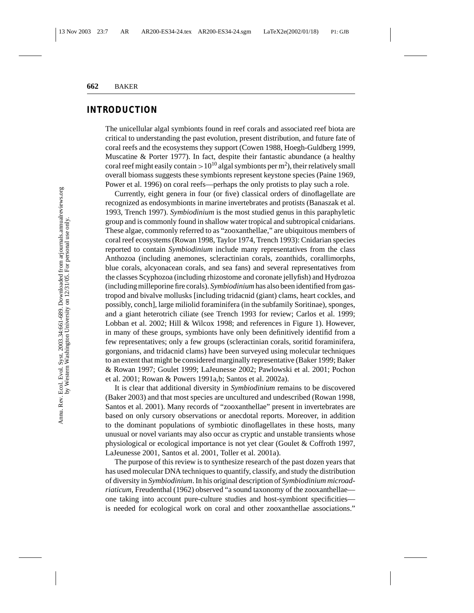## **INTRODUCTION**

The unicellular algal symbionts found in reef corals and associated reef biota are critical to understanding the past evolution, present distribution, and future fate of coral reefs and the ecosystems they support (Cowen 1988, Hoegh-Guldberg 1999, Muscatine & Porter 1977). In fact, despite their fantastic abundance (a healthy coral reef might easily contain  $>$  10<sup>10</sup> algal symbionts per m<sup>2</sup>), their relatively small overall biomass suggests these symbionts represent keystone species (Paine 1969, Power et al. 1996) on coral reefs—perhaps the only protists to play such a role.

Currently, eight genera in four (or five) classical orders of dinoflagellate are recognized as endosymbionts in marine invertebrates and protists (Banaszak et al. 1993, Trench 1997). *Symbiodinium* is the most studied genus in this paraphyletic group and is commonly found in shallow water tropical and subtropical cnidarians. These algae, commonly referred to as "zooxanthellae," are ubiquitous members of coral reef ecosystems (Rowan 1998, Taylor 1974, Trench 1993): Cnidarian species reported to contain *Symbiodinium* include many representatives from the class Anthozoa (including anemones, scleractinian corals, zoanthids, corallimorphs, blue corals, alcyonacean corals, and sea fans) and several representatives from the classes Scyphozoa (including rhizostome and coronate jellyfish) and Hydrozoa (including milleporine fire corals). *Symbiodinium*has also been identified from gastropod and bivalve mollusks [including tridacnid (giant) clams, heart cockles, and possibly, conch], large miliolid foraminifera (in the subfamily Soritinae), sponges, and a giant heterotrich ciliate (see Trench 1993 for review; Carlos et al. 1999; Lobban et al. 2002; Hill & Wilcox 1998; and references in Figure 1). However, in many of these groups, symbionts have only been definitively identifid from a few representatives; only a few groups (scleractinian corals, soritid foraminifera, gorgonians, and tridacnid clams) have been surveyed using molecular techniques to an extent that might be considered marginally representative (Baker 1999; Baker & Rowan 1997; Goulet 1999; LaJeunesse 2002; Pawlowski et al. 2001; Pochon et al. 2001; Rowan & Powers 1991a,b; Santos et al. 2002a).

It is clear that additional diversity in *Symbiodinium* remains to be discovered (Baker 2003) and that most species are uncultured and undescribed (Rowan 1998, Santos et al. 2001). Many records of "zooxanthellae" present in invertebrates are based on only cursory observations or anecdotal reports. Moreover, in addition to the dominant populations of symbiotic dinoflagellates in these hosts, many unusual or novel variants may also occur as cryptic and unstable transients whose physiological or ecological importance is not yet clear (Goulet & Coffroth 1997, LaJeunesse 2001, Santos et al. 2001, Toller et al. 2001a).

The purpose of this review is to synthesize research of the past dozen years that has used molecular DNA techniques to quantify, classify, and study the distribution of diversity in *Symbiodinium*. In his original description of *Symbiodinium microadriaticum*, Freudenthal (1962) observed "a sound taxonomy of the zooxanthellae one taking into account pure-culture studies and host-symbiont specificities is needed for ecological work on coral and other zooxanthellae associations."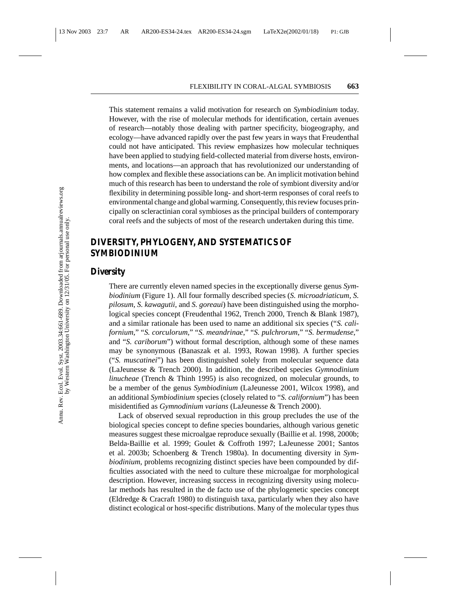This statement remains a valid motivation for research on *Symbiodinium* today. However, with the rise of molecular methods for identification, certain avenues of research—notably those dealing with partner specificity, biogeography, and ecology—have advanced rapidly over the past few years in ways that Freudenthal could not have anticipated. This review emphasizes how molecular techniques have been applied to studying field-collected material from diverse hosts, environments, and locations—an approach that has revolutionized our understanding of how complex and flexible these associations can be. An implicit motivation behind much of this research has been to understand the role of symbiont diversity and/or flexibility in determining possible long- and short-term responses of coral reefs to environmental change and global warming. Consequently, this review focuses principally on scleractinian coral symbioses as the principal builders of contemporary coral reefs and the subjects of most of the research undertaken during this time.

## **DIVERSITY, PHYLOGENY, AND SYSTEMATICS OF** *SYMBIODINIUM*

#### **Diversity**

There are currently eleven named species in the exceptionally diverse genus *Symbiodinium* (Figure 1). All four formally described species (*S. microadriaticum*, *S. pilosum*, *S. kawagutii*, and *S. goreaui*) have been distinguished using the morphological species concept (Freudenthal 1962, Trench 2000, Trench & Blank 1987), and a similar rationale has been used to name an additional six species ("*S. californium*," "*S. corculorum*," "*S. meandrinae*," "*S. pulchrorum*," "*S. bermudense*," and "*S. cariborum*") without formal description, although some of these names may be synonymous (Banaszak et al. 1993, Rowan 1998). A further species ("*S. muscatinei*") has been distinguished solely from molecular sequence data (LaJeunesse & Trench 2000). In addition, the described species *Gymnodinium linucheae* (Trench & Thinh 1995) is also recognized, on molecular grounds, to be a member of the genus *Symbiodinium* (LaJeunesse 2001, Wilcox 1998), and an additional *Symbiodinium* species (closely related to "*S. californium*") has been misidentified as *Gymnodinium varians* (LaJeunesse & Trench 2000).

Lack of observed sexual reproduction in this group precludes the use of the biological species concept to define species boundaries, although various genetic measures suggest these microalgae reproduce sexually (Baillie et al. 1998, 2000b; Belda-Baillie et al. 1999; Goulet & Coffroth 1997; LaJeunesse 2001; Santos et al. 2003b; Schoenberg & Trench 1980a). In documenting diversity in *Symbiodinium*, problems recognizing distinct species have been compounded by difficulties associated with the need to culture these microalgae for morphological description. However, increasing success in recognizing diversity using molecular methods has resulted in the de facto use of the phylogenetic species concept (Eldredge & Cracraft 1980) to distinguish taxa, particularly when they also have distinct ecological or host-specific distributions. Many of the molecular types thus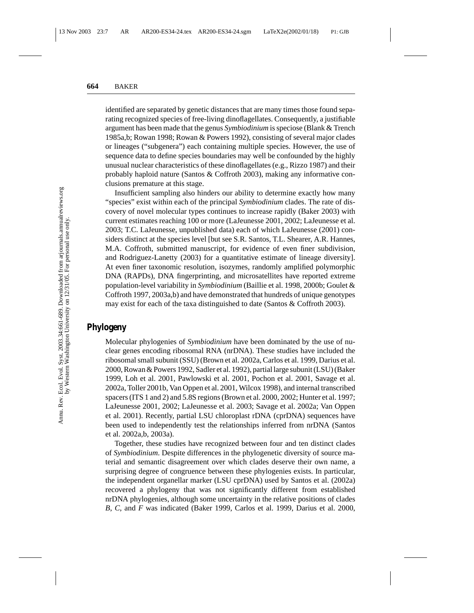identified are separated by genetic distances that are many times those found separating recognized species of free-living dinoflagellates. Consequently, a justifiable argument has been made that the genus *Symbiodinium* is speciose (Blank & Trench 1985a,b; Rowan 1998; Rowan & Powers 1992), consisting of several major clades or lineages ("subgenera") each containing multiple species. However, the use of sequence data to define species boundaries may well be confounded by the highly unusual nuclear characteristics of these dinoflagellates (e.g., Rizzo 1987) and their probably haploid nature (Santos & Coffroth 2003), making any informative conclusions premature at this stage.

Insufficient sampling also hinders our ability to determine exactly how many "species" exist within each of the principal *Symbiodinium* clades. The rate of discovery of novel molecular types continues to increase rapidly (Baker 2003) with current estimates reaching 100 or more (LaJeunesse 2001, 2002; LaJeunesse et al. 2003; T.C. LaJeunesse, unpublished data) each of which LaJeunesse (2001) considers distinct at the species level [but see S.R. Santos, T.L. Shearer, A.R. Hannes, M.A. Coffroth, submitted manuscript, for evidence of even finer subdivision, and Rodriguez-Lanetty (2003) for a quantitative estimate of lineage diversity]. At even finer taxonomic resolution, isozymes, randomly amplified polymorphic DNA (RAPDs), DNA fingerprinting, and microsatellites have reported extreme population-level variability in *Symbiodinium* (Baillie et al. 1998, 2000b; Goulet & Coffroth 1997, 2003a,b) and have demonstrated that hundreds of unique genotypes may exist for each of the taxa distinguished to date (Santos & Coffroth 2003).

## **Phylogeny**

Molecular phylogenies of *Symbiodinium* have been dominated by the use of nuclear genes encoding ribosomal RNA (nrDNA). These studies have included the ribosomal small subunit (SSU) (Brown et al. 2002a, Carlos et al. 1999, Darius et al. 2000, Rowan & Powers 1992, Sadler et al. 1992), partial large subunit (LSU) (Baker 1999, Loh et al. 2001, Pawlowski et al. 2001, Pochon et al. 2001, Savage et al. 2002a, Toller 2001b, Van Oppen et al. 2001, Wilcox 1998), and internal transcribed spacers (ITS 1 and 2) and 5.8S regions (Brown et al. 2000, 2002; Hunter et al. 1997; LaJeunesse 2001, 2002; LaJeunesse et al. 2003; Savage et al. 2002a; Van Oppen et al. 2001). Recently, partial LSU chloroplast rDNA (cprDNA) sequences have been used to independently test the relationships inferred from nrDNA (Santos et al. 2002a,b, 2003a).

Together, these studies have recognized between four and ten distinct clades of *Symbiodinium*. Despite differences in the phylogenetic diversity of source material and semantic disagreement over which clades deserve their own name, a surprising degree of congruence between these phylogenies exists. In particular, the independent organellar marker (LSU cprDNA) used by Santos et al. (2002a) recovered a phylogeny that was not significantly different from established nrDNA phylogenies, although some uncertainty in the relative positions of clades *B*, *C*, and *F* was indicated (Baker 1999, Carlos et al. 1999, Darius et al. 2000,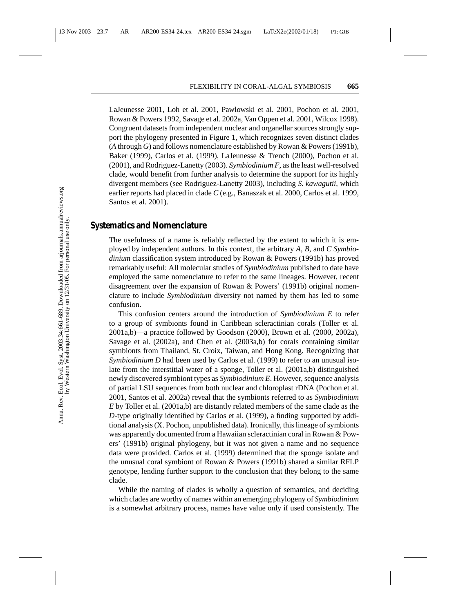LaJeunesse 2001, Loh et al. 2001, Pawlowski et al. 2001, Pochon et al. 2001, Rowan & Powers 1992, Savage et al. 2002a, Van Oppen et al. 2001, Wilcox 1998). Congruent datasets from independent nuclear and organellar sources strongly support the phylogeny presented in Figure 1, which recognizes seven distinct clades (*A* through *G*) and follows nomenclature established by Rowan & Powers (1991b), Baker (1999), Carlos et al. (1999), LaJeunesse & Trench (2000), Pochon et al. (2001), and Rodriguez-Lanetty (2003). *Symbiodinium F*, as the least well-resolved clade, would benefit from further analysis to determine the support for its highly divergent members (see Rodriguez-Lanetty 2003), including *S. kawagutii*, which earlier reports had placed in clade *C* (e.g., Banaszak et al. 2000, Carlos et al. 1999, Santos et al. 2001).

#### **Systematics and Nomenclature**

The usefulness of a name is reliably reflected by the extent to which it is employed by independent authors. In this context, the arbitrary *A*, *B*, and *C Symbiodinium* classification system introduced by Rowan & Powers (1991b) has proved remarkably useful: All molecular studies of *Symbiodinium* published to date have employed the same nomenclature to refer to the same lineages. However, recent disagreement over the expansion of Rowan & Powers' (1991b) original nomenclature to include *Symbiodinium* diversity not named by them has led to some confusion.

This confusion centers around the introduction of *Symbiodinium E* to refer to a group of symbionts found in Caribbean scleractinian corals (Toller et al. 2001a,b)—a practice followed by Goodson (2000), Brown et al. (2000, 2002a), Savage et al. (2002a), and Chen et al. (2003a,b) for corals containing similar symbionts from Thailand, St. Croix, Taiwan, and Hong Kong. Recognizing that *Symbiodinium D* had been used by Carlos et al. (1999) to refer to an unusual isolate from the interstitial water of a sponge, Toller et al. (2001a,b) distinguished newly discovered symbiont types as *Symbiodinium E*. However, sequence analysis of partial LSU sequences from both nuclear and chloroplast rDNA (Pochon et al. 2001, Santos et al. 2002a) reveal that the symbionts referred to as *Symbiodinium E* by Toller et al. (2001a,b) are distantly related members of the same clade as the *D*-type originally identified by Carlos et al. (1999), a finding supported by additional analysis (X. Pochon, unpublished data). Ironically, this lineage of symbionts was apparently documented from a Hawaiian scleractinian coral in Rowan & Powers' (1991b) original phylogeny, but it was not given a name and no sequence data were provided. Carlos et al. (1999) determined that the sponge isolate and the unusual coral symbiont of Rowan & Powers (1991b) shared a similar RFLP genotype, lending further support to the conclusion that they belong to the same clade.

While the naming of clades is wholly a question of semantics, and deciding which clades are worthy of names within an emerging phylogeny of *Symbiodinium* is a somewhat arbitrary process, names have value only if used consistently. The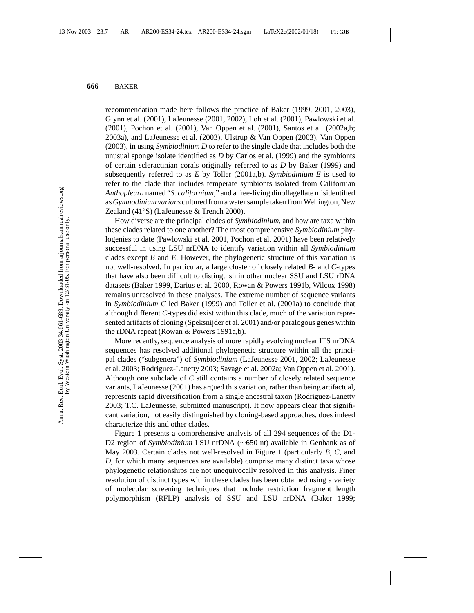recommendation made here follows the practice of Baker (1999, 2001, 2003), Glynn et al. (2001), LaJeunesse (2001, 2002), Loh et al. (2001), Pawlowski et al. (2001), Pochon et al. (2001), Van Oppen et al. (2001), Santos et al. (2002a,b; 2003a), and LaJeunesse et al. (2003), Ulstrup & Van Oppen (2003), Van Oppen (2003), in using *Symbiodinium D* to refer to the single clade that includes both the unusual sponge isolate identified as *D* by Carlos et al. (1999) and the symbionts of certain scleractinian corals originally referred to as *D* by Baker (1999) and subsequently referred to as *E* by Toller (2001a,b). *Symbiodinium E* is used to refer to the clade that includes temperate symbionts isolated from Californian *Anthopleura* named "*S. californium*," and a free-living dinoflagellate misidentified as*Gymnodinium varians* cultured from a water sample taken from Wellington, New Zealand (41◦S) (LaJeunesse & Trench 2000).

How diverse are the principal clades of *Symbiodinium*, and how are taxa within these clades related to one another? The most comprehensive *Symbiodinium* phylogenies to date (Pawlowski et al. 2001, Pochon et al. 2001) have been relatively successful in using LSU nrDNA to identify variation within all *Symbiodinium* clades except *B* and *E*. However, the phylogenetic structure of this variation is not well-resolved. In particular, a large cluster of closely related *B*- and *C*-types that have also been difficult to distinguish in other nuclear SSU and LSU rDNA datasets (Baker 1999, Darius et al. 2000, Rowan & Powers 1991b, Wilcox 1998) remains unresolved in these analyses. The extreme number of sequence variants in *Symbiodinium C* led Baker (1999) and Toller et al. (2001a) to conclude that although different *C*-types did exist within this clade, much of the variation represented artifacts of cloning (Speksnijder et al. 2001) and/or paralogous genes within the rDNA repeat (Rowan & Powers 1991a,b).

More recently, sequence analysis of more rapidly evolving nuclear ITS nrDNA sequences has resolved additional phylogenetic structure within all the principal clades ("subgenera") of *Symbiodinium* (LaJeunesse 2001, 2002; LaJeunesse et al. 2003; Rodriguez-Lanetty 2003; Savage et al. 2002a; Van Oppen et al. 2001). Although one subclade of *C* still contains a number of closely related sequence variants, LaJeunesse (2001) has argued this variation, rather than being artifactual, represents rapid diversification from a single ancestral taxon (Rodriguez-Lanetty 2003; T.C. LaJeunesse, submitted manuscript). It now appears clear that significant variation, not easily distinguished by cloning-based approaches, does indeed characterize this and other clades.

Figure 1 presents a comprehensive analysis of all 294 sequences of the D1- D2 region of *Symbiodinium* LSU nrDNA (∼650 nt) available in Genbank as of May 2003. Certain clades not well-resolved in Figure 1 (particularly *B*, *C*, and *D*, for which many sequences are available) comprise many distinct taxa whose phylogenetic relationships are not unequivocally resolved in this analysis. Finer resolution of distinct types within these clades has been obtained using a variety of molecular screening techniques that include restriction fragment length polymorphism (RFLP) analysis of SSU and LSU nrDNA (Baker 1999;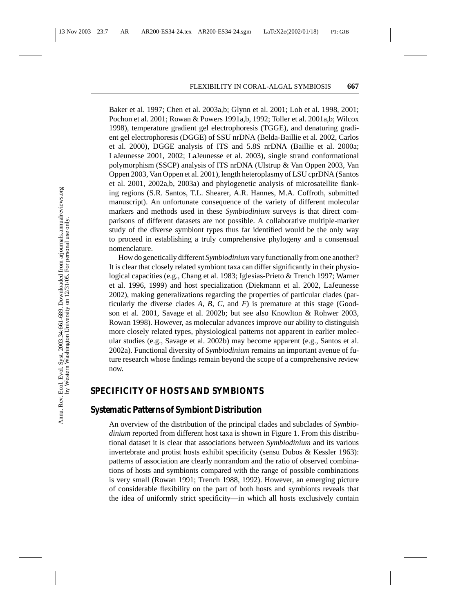Baker et al. 1997; Chen et al. 2003a,b; Glynn et al. 2001; Loh et al. 1998, 2001; Pochon et al. 2001; Rowan & Powers 1991a,b, 1992; Toller et al. 2001a,b; Wilcox 1998), temperature gradient gel electrophoresis (TGGE), and denaturing gradient gel electrophoresis (DGGE) of SSU nrDNA (Belda-Baillie et al. 2002, Carlos et al. 2000), DGGE analysis of ITS and 5.8S nrDNA (Baillie et al. 2000a; LaJeunesse 2001, 2002; LaJeunesse et al. 2003), single strand conformational polymorphism (SSCP) analysis of ITS nrDNA (Ulstrup & Van Oppen 2003, Van Oppen 2003, Van Oppen et al. 2001), length heteroplasmy of LSU cprDNA (Santos et al. 2001, 2002a,b, 2003a) and phylogenetic analysis of microsatellite flanking regions (S.R. Santos, T.L. Shearer, A.R. Hannes, M.A. Coffroth, submitted manuscript). An unfortunate consequence of the variety of different molecular markers and methods used in these *Symbiodinium* surveys is that direct comparisons of different datasets are not possible. A collaborative multiple-marker study of the diverse symbiont types thus far identified would be the only way to proceed in establishing a truly comprehensive phylogeny and a consensual nomenclature.

How do genetically different *Symbiodinium* vary functionally from one another? It is clear that closely related symbiont taxa can differ significantly in their physiological capacities (e.g., Chang et al. 1983; Iglesias-Prieto & Trench 1997; Warner et al. 1996, 1999) and host specialization (Diekmann et al. 2002, LaJeunesse 2002), making generalizations regarding the properties of particular clades (particularly the diverse clades  $A$ ,  $B$ ,  $C$ , and  $F$ ) is premature at this stage (Goodson et al. 2001, Savage et al. 2002b; but see also Knowlton & Rohwer 2003, Rowan 1998). However, as molecular advances improve our ability to distinguish more closely related types, physiological patterns not apparent in earlier molecular studies (e.g., Savage et al. 2002b) may become apparent (e.g., Santos et al. 2002a). Functional diversity of *Symbiodinium* remains an important avenue of future research whose findings remain beyond the scope of a comprehensive review now.

## **SPECIFICITY OF HOSTS AND SYMBIONTS**

## **Systematic Patterns of Symbiont Distribution**

An overview of the distribution of the principal clades and subclades of *Symbiodinium* reported from different host taxa is shown in Figure 1. From this distributional dataset it is clear that associations between *Symbiodinium* and its various invertebrate and protist hosts exhibit specificity (sensu Dubos & Kessler 1963): patterns of association are clearly nonrandom and the ratio of observed combinations of hosts and symbionts compared with the range of possible combinations is very small (Rowan 1991; Trench 1988, 1992). However, an emerging picture of considerable flexibility on the part of both hosts and symbionts reveals that the idea of uniformly strict specificity—in which all hosts exclusively contain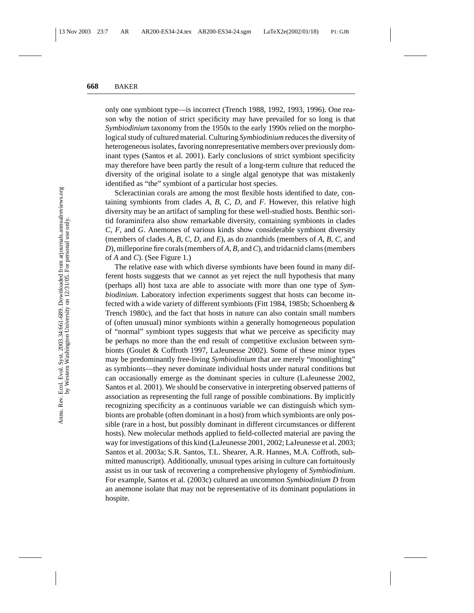only one symbiont type—is incorrect (Trench 1988, 1992, 1993, 1996). One reason why the notion of strict specificity may have prevailed for so long is that *Symbiodinium* taxonomy from the 1950s to the early 1990s relied on the morphological study of cultured material. Culturing *Symbiodinium* reduces the diversity of heterogeneous isolates, favoring nonrepresentative members over previously dominant types (Santos et al. 2001). Early conclusions of strict symbiont specificity may therefore have been partly the result of a long-term culture that reduced the diversity of the original isolate to a single algal genotype that was mistakenly identified as "the" symbiont of a particular host species.

Scleractinian corals are among the most flexible hosts identified to date, containing symbionts from clades *A*, *B*, *C*, *D*, and *F*. However, this relative high diversity may be an artifact of sampling for these well-studied hosts. Benthic soritid foraminifera also show remarkable diversity, containing symbionts in clades *C*, *F*, and *G*. Anemones of various kinds show considerable symbiont diversity (members of clades *A*, *B*, *C*, *D*, and *E*), as do zoanthids (members of *A*, *B*, *C*, and *D*), milleporine fire corals (members of *A*, *B*, and *C*), and tridacnid clams (members of *A* and *C*). (See Figure 1.)

The relative ease with which diverse symbionts have been found in many different hosts suggests that we cannot as yet reject the null hypothesis that many (perhaps all) host taxa are able to associate with more than one type of *Symbiodinium*. Laboratory infection experiments suggest that hosts can become infected with a wide variety of different symbionts (Fitt 1984, 1985b; Schoenberg & Trench 1980c), and the fact that hosts in nature can also contain small numbers of (often unusual) minor symbionts within a generally homogeneous population of "normal" symbiont types suggests that what we perceive as specificity may be perhaps no more than the end result of competitive exclusion between symbionts (Goulet & Coffroth 1997, LaJeunesse 2002). Some of these minor types may be predominantly free-living *Symbiodinium* that are merely "moonlighting" as symbionts—they never dominate individual hosts under natural conditions but can occasionally emerge as the dominant species in culture (LaJeunesse 2002, Santos et al. 2001). We should be conservative in interpreting observed patterns of association as representing the full range of possible combinations. By implicitly recognizing specificity as a continuous variable we can distinguish which symbionts are probable (often dominant in a host) from which symbionts are only possible (rare in a host, but possibly dominant in different circumstances or different hosts). New molecular methods applied to field-collected material are paving the way for investigations of this kind (LaJeunesse 2001, 2002; LaJeunesse et al. 2003; Santos et al. 2003a; S.R. Santos, T.L. Shearer, A.R. Hannes, M.A. Coffroth, submitted manuscript). Additionally, unusual types arising in culture can fortuitously assist us in our task of recovering a comprehensive phylogeny of *Symbiodinium*. For example, Santos et al. (2003c) cultured an uncommon *Symbiodinium D* from an anemone isolate that may not be representative of its dominant populations in hospite.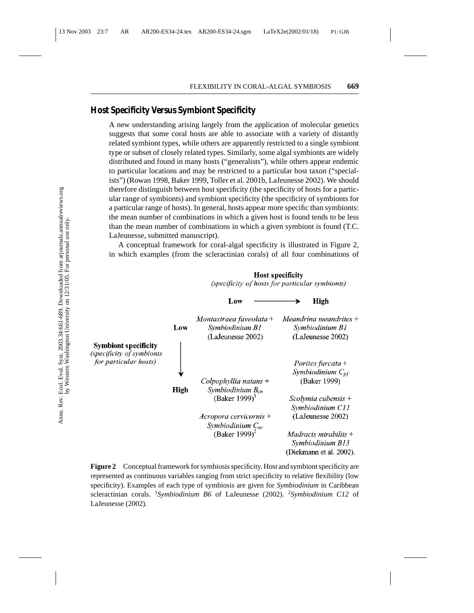## **Host Specificity Versus Symbiont Specificity**

A new understanding arising largely from the application of molecular genetics suggests that some coral hosts are able to associate with a variety of distantly related symbiont types, while others are apparently restricted to a single symbiont type or subset of closely related types. Similarly, some algal symbionts are widely distributed and found in many hosts ("generalists"), while others appear endemic to particular locations and may be restricted to a particular host taxon ("specialists") (Rowan 1998, Baker 1999, Toller et al. 2001b, LaJeunesse 2002). We should therefore distinguish between host specificity (the specificity of hosts for a particular range of symbionts) and symbiont specificity (the specificity of symbionts for a particular range of hosts). In general, hosts appear more specific than symbionts: the mean number of combinations in which a given host is found tends to be less than the mean number of combinations in which a given symbiont is found (T.C. LaJeunesse, submitted manuscript).

A conceptual framework for coral-algal specificity is illustrated in Figure 2, in which examples (from the scleractinian corals) of all four combinations of

|                                                                                   |      | <b>Host specificity</b><br>(specificity of hosts for particular symbionts) |                                                                        |  |
|-----------------------------------------------------------------------------------|------|----------------------------------------------------------------------------|------------------------------------------------------------------------|--|
|                                                                                   |      | Low                                                                        | High                                                                   |  |
|                                                                                   | Low  | Montastraea faveolata +<br>Symbiodinium B1<br>(LaJeunesse 2002)            | Meandrina meandrites $+$<br>Symbiodinium B1<br>(LaJeunesse 2002)       |  |
| <b>Symbiont specificity</b><br>(specificity of symbionts<br>for particular hosts) |      |                                                                            | Porites furcata +<br>Symbiodinium $C_{pf}$                             |  |
|                                                                                   | High | $Colpophyllia$ natans +<br>Symbiodinium $B_{cn}$                           | (Baker 1999)                                                           |  |
|                                                                                   |      | (Baker 1999) <sup>1</sup>                                                  | $Scolymia cubensis +$<br>Symbiodinium C11                              |  |
|                                                                                   |      | Acropora cervicornis +<br>Symbiodinium $C_{ac}$                            | (LaJeunesse 2002)                                                      |  |
|                                                                                   |      | (Baker 1999) <sup>2</sup>                                                  | $Madracis mirabiliis +$<br>Symbiodinium B13<br>(Diekmann et al. 2002). |  |

**Figure 2** Conceptual framework for symbiosis specificity. Host and symbiont specificity are represented as continuous variables ranging from strict specificity to relative flexibility (low specificity). Examples of each type of symbiosis are given for *Symbiodinium* in Caribbean scleractinian corals. <sup>1</sup> *Symbiodinium B6* of LaJeunesse (2002). <sup>2</sup> *Symbiodinium C12* of LaJeunesse (2002).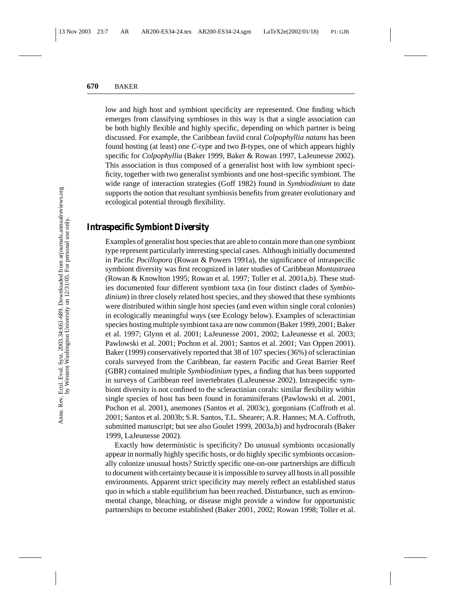low and high host and symbiont specificity are represented. One finding which emerges from classifying symbioses in this way is that a single association can be both highly flexible and highly specific, depending on which partner is being discussed. For example, the Caribbean faviid coral *Colpophyllia natans* has been found hosting (at least) one *C*-type and two *B*-types, one of which appears highly specific for *Colpophyllia* (Baker 1999, Baker & Rowan 1997, LaJeunesse 2002). This association is thus composed of a generalist host with low symbiont specificity, together with two generalist symbionts and one host-specific symbiont. The wide range of interaction strategies (Goff 1982) found in *Symbiodinium* to date supports the notion that resultant symbiosis benefits from greater evolutionary and ecological potential through flexibility.

## **Intraspecific Symbiont Diversity**

Examples of generalist host species that are able to contain more than one symbiont type represent particularly interesting special cases. Although initially documented in Pacific *Pocillopora* (Rowan & Powers 1991a), the significance of intraspecific symbiont diversity was first recognized in later studies of Caribbean *Montastraea* (Rowan & Knowlton 1995; Rowan et al. 1997; Toller et al. 2001a,b). These studies documented four different symbiont taxa (in four distinct clades of *Symbiodinium*) in three closely related host species, and they showed that these symbionts were distributed within single host species (and even within single coral colonies) in ecologically meaningful ways (see Ecology below). Examples of scleractinian species hosting multiple symbiont taxa are now common (Baker 1999, 2001; Baker et al. 1997; Glynn et al. 2001; LaJeunesse 2001, 2002; LaJeunesse et al. 2003; Pawlowski et al. 2001; Pochon et al. 2001; Santos et al. 2001; Van Oppen 2001). Baker (1999) conservatively reported that 38 of 107 species (36%) of scleractinian corals surveyed from the Caribbean, far eastern Pacific and Great Barrier Reef (GBR) contained multiple *Symbiodinium* types, a finding that has been supported in surveys of Caribbean reef invertebrates (LaJeunesse 2002). Intraspecific symbiont diversity is not confined to the scleractinian corals: similar flexibility within single species of host has been found in foraminiferans (Pawlowski et al. 2001, Pochon et al. 2001), anemones (Santos et al. 2003c), gorgonians (Coffroth et al. 2001; Santos et al. 2003b; S.R. Santos, T.L. Shearer; A.R. Hannes; M.A. Coffroth, submitted manuscript; but see also Goulet 1999, 2003a,b) and hydrocorals (Baker 1999, LaJeunesse 2002).

Exactly how deterministic is specificity? Do unusual symbionts occasionally appear in normally highly specific hosts, or do highly specific symbionts occasionally colonize unusual hosts? Strictly specific one-on-one partnerships are difficult to document with certainty because it is impossible to survey all hosts in all possible environments. Apparent strict specificity may merely reflect an established status quo in which a stable equilibrium has been reached. Disturbance, such as environmental change, bleaching, or disease might provide a window for opportunistic partnerships to become established (Baker 2001, 2002; Rowan 1998; Toller et al.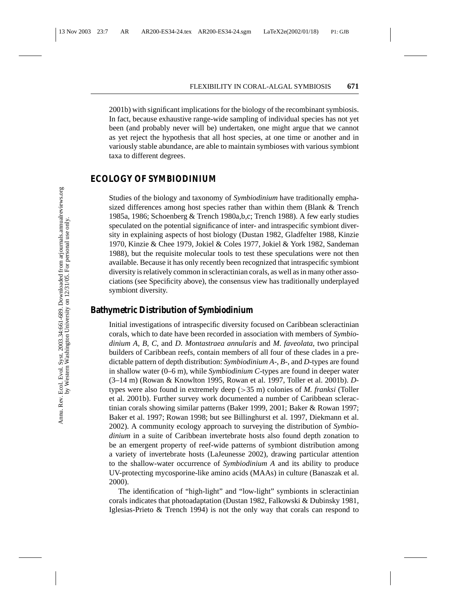2001b) with significant implications for the biology of the recombinant symbiosis. In fact, because exhaustive range-wide sampling of individual species has not yet been (and probably never will be) undertaken, one might argue that we cannot as yet reject the hypothesis that all host species, at one time or another and in variously stable abundance, are able to maintain symbioses with various symbiont taxa to different degrees.

#### **ECOLOGY OF** *SYMBIODINIUM*

Studies of the biology and taxonomy of *Symbiodinium* have traditionally emphasized differences among host species rather than within them (Blank & Trench 1985a, 1986; Schoenberg & Trench 1980a,b,c; Trench 1988). A few early studies speculated on the potential significance of inter- and intraspecific symbiont diversity in explaining aspects of host biology (Dustan 1982, Gladfelter 1988, Kinzie 1970, Kinzie & Chee 1979, Jokiel & Coles 1977, Jokiel & York 1982, Sandeman 1988), but the requisite molecular tools to test these speculations were not then available. Because it has only recently been recognized that intraspecific symbiont diversity is relatively common in scleractinian corals, as well as in many other associations (see Specificity above), the consensus view has traditionally underplayed symbiont diversity.

## **Bathymetric Distribution of** *Symbiodinium*

Initial investigations of intraspecific diversity focused on Caribbean scleractinian corals, which to date have been recorded in association with members of *Symbiodinium A*, *B*, *C*, and *D*. *Montastraea annularis* and *M. faveolata*, two principal builders of Caribbean reefs, contain members of all four of these clades in a predictable pattern of depth distribution: *Symbiodinium A-*, *B-*, and *D-*types are found in shallow water (0–6 m), while *Symbiodinium C*-types are found in deeper water (3–14 m) (Rowan & Knowlton 1995, Rowan et al. 1997, Toller et al. 2001b). *D*types were also found in extremely deep (>35 m) colonies of *M. franksi* (Toller et al. 2001b). Further survey work documented a number of Caribbean scleractinian corals showing similar patterns (Baker 1999, 2001; Baker & Rowan 1997; Baker et al. 1997; Rowan 1998; but see Billinghurst et al. 1997, Diekmann et al. 2002). A community ecology approach to surveying the distribution of *Symbiodinium* in a suite of Caribbean invertebrate hosts also found depth zonation to be an emergent property of reef-wide patterns of symbiont distribution among a variety of invertebrate hosts (LaJeunesse 2002), drawing particular attention to the shallow-water occurrence of *Symbiodinium A* and its ability to produce UV-protecting mycosporine-like amino acids (MAAs) in culture (Banaszak et al. 2000).

The identification of "high-light" and "low-light" symbionts in scleractinian corals indicates that photoadaptation (Dustan 1982, Falkowski & Dubinsky 1981, Iglesias-Prieto & Trench 1994) is not the only way that corals can respond to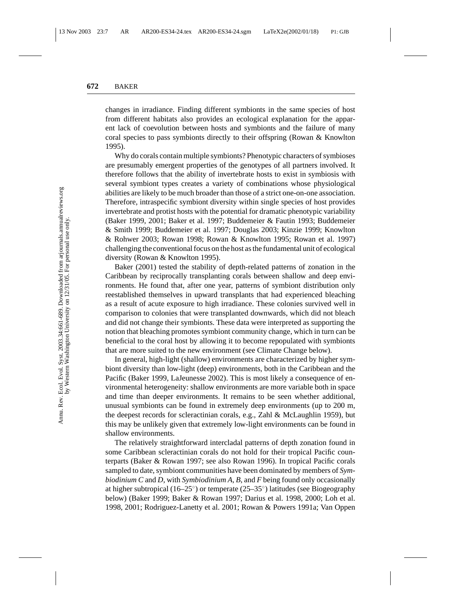changes in irradiance. Finding different symbionts in the same species of host from different habitats also provides an ecological explanation for the apparent lack of coevolution between hosts and symbionts and the failure of many coral species to pass symbionts directly to their offspring (Rowan & Knowlton 1995).

Why do corals contain multiple symbionts? Phenotypic characters of symbioses are presumably emergent properties of the genotypes of all partners involved. It therefore follows that the ability of invertebrate hosts to exist in symbiosis with several symbiont types creates a variety of combinations whose physiological abilities are likely to be much broader than those of a strict one-on-one association. Therefore, intraspecific symbiont diversity within single species of host provides invertebrate and protist hosts with the potential for dramatic phenotypic variability (Baker 1999, 2001; Baker et al. 1997; Buddemeier & Fautin 1993; Buddemeier & Smith 1999; Buddemeier et al. 1997; Douglas 2003; Kinzie 1999; Knowlton & Rohwer 2003; Rowan 1998; Rowan & Knowlton 1995; Rowan et al. 1997) challenging the conventional focus on the host as the fundamental unit of ecological diversity (Rowan & Knowlton 1995).

Baker (2001) tested the stability of depth-related patterns of zonation in the Caribbean by reciprocally transplanting corals between shallow and deep environments. He found that, after one year, patterns of symbiont distribution only reestablished themselves in upward transplants that had experienced bleaching as a result of acute exposure to high irradiance. These colonies survived well in comparison to colonies that were transplanted downwards, which did not bleach and did not change their symbionts. These data were interpreted as supporting the notion that bleaching promotes symbiont community change, which in turn can be beneficial to the coral host by allowing it to become repopulated with symbionts that are more suited to the new environment (see Climate Change below).

In general, high-light (shallow) environments are characterized by higher symbiont diversity than low-light (deep) environments, both in the Caribbean and the Pacific (Baker 1999, LaJeunesse 2002). This is most likely a consequence of environmental heterogeneity: shallow environments are more variable both in space and time than deeper environments. It remains to be seen whether additional, unusual symbionts can be found in extremely deep environments (up to 200 m, the deepest records for scleractinian corals, e.g., Zahl & McLaughlin 1959), but this may be unlikely given that extremely low-light environments can be found in shallow environments.

The relatively straightforward intercladal patterns of depth zonation found in some Caribbean scleractinian corals do not hold for their tropical Pacific counterparts (Baker & Rowan 1997; see also Rowan 1996). In tropical Pacific corals sampled to date, symbiont communities have been dominated by members of *Symbiodinium C* and *D*, with *Symbiodinium A*, *B*, and *F* being found only occasionally at higher subtropical (16–25◦) or temperate (25–35◦) latitudes (see Biogeography below) (Baker 1999; Baker & Rowan 1997; Darius et al. 1998, 2000; Loh et al. 1998, 2001; Rodriguez-Lanetty et al. 2001; Rowan & Powers 1991a; Van Oppen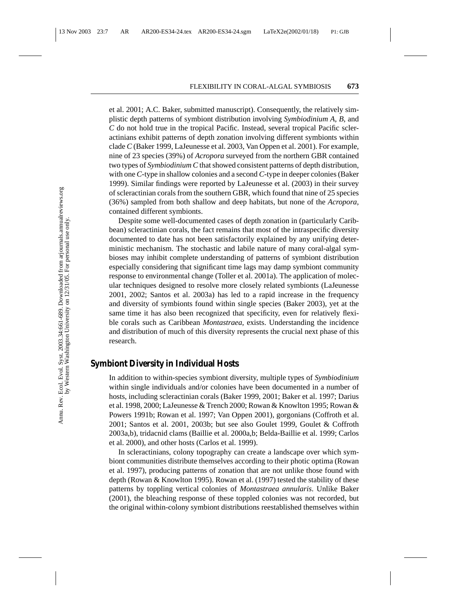et al. 2001; A.C. Baker, submitted manuscript). Consequently, the relatively simplistic depth patterns of symbiont distribution involving *Symbiodinium A*, *B*, and *C* do not hold true in the tropical Pacific. Instead, several tropical Pacific scleractinians exhibit patterns of depth zonation involving different symbionts within clade *C* (Baker 1999, LaJeunesse et al. 2003, Van Oppen et al. 2001). For example, nine of 23 species (39%) of *Acropora* surveyed from the northern GBR contained two types of *Symbiodinium C* that showed consistent patterns of depth distribution, with one *C*-type in shallow colonies and a second *C*-type in deeper colonies (Baker 1999). Similar findings were reported by LaJeunesse et al. (2003) in their survey of scleractinian corals from the southern GBR, which found that nine of 25 species (36%) sampled from both shallow and deep habitats, but none of the *Acropora*, contained different symbionts.

Despite some well-documented cases of depth zonation in (particularly Caribbean) scleractinian corals, the fact remains that most of the intraspecific diversity documented to date has not been satisfactorily explained by any unifying deterministic mechanism. The stochastic and labile nature of many coral-algal symbioses may inhibit complete understanding of patterns of symbiont distribution especially considering that significant time lags may damp symbiont community response to environmental change (Toller et al. 2001a). The application of molecular techniques designed to resolve more closely related symbionts (LaJeunesse 2001, 2002; Santos et al. 2003a) has led to a rapid increase in the frequency and diversity of symbionts found within single species (Baker 2003), yet at the same time it has also been recognized that specificity, even for relatively flexible corals such as Caribbean *Montastraea*, exists. Understanding the incidence and distribution of much of this diversity represents the crucial next phase of this research.

#### **Symbiont Diversity in Individual Hosts**

In addition to within-species symbiont diversity, multiple types of *Symbiodinium* within single individuals and/or colonies have been documented in a number of hosts, including scleractinian corals (Baker 1999, 2001; Baker et al. 1997; Darius et al. 1998, 2000; LaJeunesse & Trench 2000; Rowan & Knowlton 1995; Rowan & Powers 1991b; Rowan et al. 1997; Van Oppen 2001), gorgonians (Coffroth et al. 2001; Santos et al. 2001, 2003b; but see also Goulet 1999, Goulet & Coffroth 2003a,b), tridacnid clams (Baillie et al. 2000a,b; Belda-Baillie et al. 1999; Carlos et al. 2000), and other hosts (Carlos et al. 1999).

In scleractinians, colony topography can create a landscape over which symbiont communities distribute themselves according to their photic optima (Rowan et al. 1997), producing patterns of zonation that are not unlike those found with depth (Rowan & Knowlton 1995). Rowan et al. (1997) tested the stability of these patterns by toppling vertical colonies of *Montastraea annularis*. Unlike Baker (2001), the bleaching response of these toppled colonies was not recorded, but the original within-colony symbiont distributions reestablished themselves within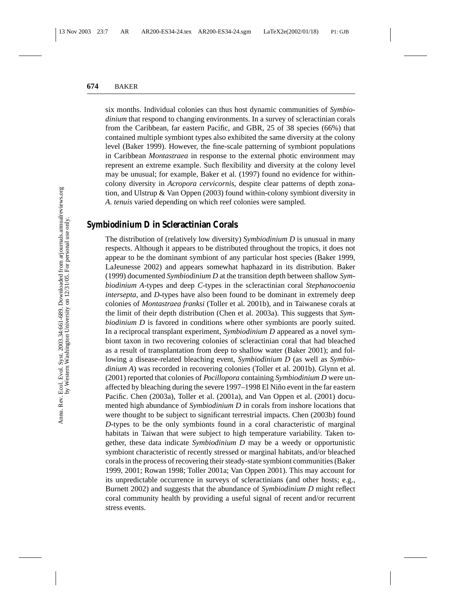six months. Individual colonies can thus host dynamic communities of *Symbiodinium* that respond to changing environments. In a survey of scleractinian corals from the Caribbean, far eastern Pacific, and GBR, 25 of 38 species (66%) that contained multiple symbiont types also exhibited the same diversity at the colony level (Baker 1999). However, the fine-scale patterning of symbiont populations in Caribbean *Montastraea* in response to the external photic environment may represent an extreme example. Such flexibility and diversity at the colony level may be unusual; for example, Baker et al. (1997) found no evidence for withincolony diversity in *Acropora cervicornis*, despite clear patterns of depth zonation, and Ulstrup & Van Oppen (2003) found within-colony symbiont diversity in *A. tenuis* varied depending on which reef colonies were sampled.

#### *Symbiodinium D* **in Scleractinian Corals**

The distribution of (relatively low diversity) *Symbiodinium D* is unusual in many respects. Although it appears to be distributed throughout the tropics, it does not appear to be the dominant symbiont of any particular host species (Baker 1999, LaJeunesse 2002) and appears somewhat haphazard in its distribution. Baker (1999) documented *Symbiodinium D* at the transition depth between shallow *Symbiodinium A*-types and deep *C*-types in the scleractinian coral *Stephanocoenia intersepta*, and *D*-types have also been found to be dominant in extremely deep colonies of *Montastraea franksi* (Toller et al. 2001b), and in Taiwanese corals at the limit of their depth distribution (Chen et al. 2003a). This suggests that *Symbiodinium D* is favored in conditions where other symbionts are poorly suited. In a reciprocal transplant experiment, *Symbiodinium D* appeared as a novel symbiont taxon in two recovering colonies of scleractinian coral that had bleached as a result of transplantation from deep to shallow water (Baker 2001); and following a disease-related bleaching event, *Symbiodinium D* (as well as *Symbiodinium A*) was recorded in recovering colonies (Toller et al. 2001b). Glynn et al. (2001) reported that colonies of *Pocillopora* containing *Symbiodinium D* were unaffected by bleaching during the severe 1997–1998 El Niño event in the far eastern Pacific. Chen (2003a), Toller et al. (2001a), and Van Oppen et al. (2001) documented high abundance of *Symbiodinium D* in corals from inshore locations that were thought to be subject to significant terrestrial impacts. Chen (2003b) found *D*-types to be the only symbionts found in a coral characteristic of marginal habitats in Taiwan that were subject to high temperature variability. Taken together, these data indicate *Symbiodinium D* may be a weedy or opportunistic symbiont characteristic of recently stressed or marginal habitats, and/or bleached corals in the process of recovering their steady-state symbiont communities (Baker 1999, 2001; Rowan 1998; Toller 2001a; Van Oppen 2001). This may account for its unpredictable occurrence in surveys of scleractinians (and other hosts; e.g., Burnett 2002) and suggests that the abundance of *Symbiodinium D* might reflect coral community health by providing a useful signal of recent and/or recurrent stress events.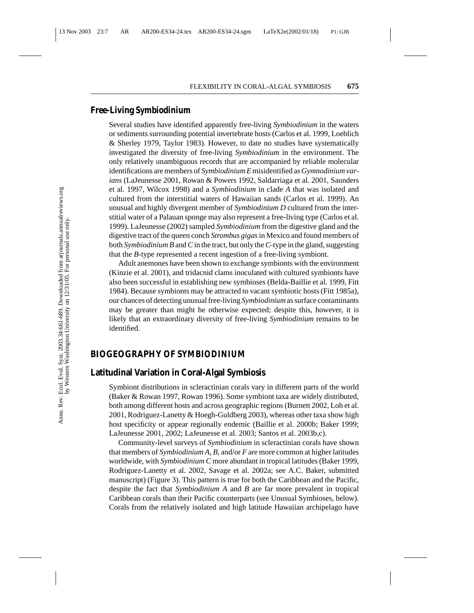## **Free-Living** *Symbiodinium*

Several studies have identified apparently free-living *Symbiodinium* in the waters or sediments surrounding potential invertebrate hosts (Carlos et al. 1999, Loeblich & Sherley 1979, Taylor 1983). However, to date no studies have systematically investigated the diversity of free-living *Symbiodinium* in the environment. The only relatively unambiguous records that are accompanied by reliable molecular identifications are members of *Symbiodinium E*misidentified as *Gymnodinium varians* (LaJeunesse 2001, Rowan & Powers 1992, Saldarriaga et al. 2001, Saunders et al. 1997, Wilcox 1998) and a *Symbiodinium* in clade *A* that was isolated and cultured from the interstitial waters of Hawaiian sands (Carlos et al. 1999). An unusual and highly divergent member of *Symbiodinium D* cultured from the interstitial water of a Palauan sponge may also represent a free-living type (Carlos et al. 1999). LaJeunesse (2002) sampled *Symbiodinium* from the digestive gland and the digestive tract of the queen conch *Strombus gigas*in Mexico and found members of both *Symbiodinium B* and*C*in the tract, but only the*C*-type in the gland, suggesting that the *B*-type represented a recent ingestion of a free-living symbiont.

Adult anemones have been shown to exchange symbionts with the environment (Kinzie et al. 2001), and tridacnid clams inoculated with cultured symbionts have also been successful in establishing new symbioses (Belda-Baillie et al. 1999, Fitt 1984). Because symbionts may be attracted to vacant symbiotic hosts (Fitt 1985a), our chances of detecting unusual free-living *Symbiodinium* as surface contaminants may be greater than might be otherwise expected; despite this, however, it is likely that an extraordinary diversity of free-living *Symbiodinium* remains to be identified.

#### **BIOGEOGRAPHY OF** *SYMBIODINIUM*

#### **Latitudinal Variation in Coral-Algal Symbiosis**

Symbiont distributions in scleractinian corals vary in different parts of the world (Baker & Rowan 1997, Rowan 1996). Some symbiont taxa are widely distributed, both among different hosts and across geographic regions (Burnett 2002, Loh et al. 2001, Rodriguez-Lanetty & Hoegh-Guldberg 2003), whereas other taxa show high host specificity or appear regionally endemic (Baillie et al. 2000b; Baker 1999; LaJeunesse 2001, 2002; LaJeunesse et al. 2003; Santos et al. 2003b,c).

Community-level surveys of *Symbiodinium* in scleractinian corals have shown that members of *Symbiodinium A*, *B*, and/or *F* are more common at higher latitudes worldwide, with *Symbiodinium C* more abundant in tropical latitudes (Baker 1999, Rodriguez-Lanetty et al. 2002, Savage et al. 2002a; see A.C. Baker, submitted manuscript) (Figure 3). This pattern is true for both the Caribbean and the Pacific, despite the fact that *Symbiodinium A* and *B* are far more prevalent in tropical Caribbean corals than their Pacific counterparts (see Unusual Symbioses, below). Corals from the relatively isolated and high latitude Hawaiian archipelago have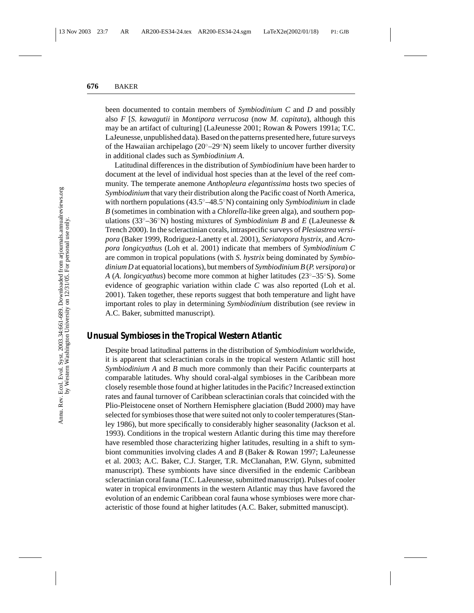been documented to contain members of *Symbiodinium C* and *D* and possibly also *F* [*S. kawagutii* in *Montipora verrucosa* (now *M. capitata*), although this may be an artifact of culturing] (LaJeunesse 2001; Rowan & Powers 1991a; T.C. LaJeunesse, unpublished data). Based on the patterns presented here, future surveys of the Hawaiian archipelago ( $20^{\circ}$ – $29^{\circ}$ N) seem likely to uncover further diversity in additional clades such as *Symbiodinium A*.

Latitudinal differences in the distribution of *Symbiodinium* have been harder to document at the level of individual host species than at the level of the reef community. The temperate anemone *Anthopleura elegantissima* hosts two species of *Symbiodinium* that vary their distribution along the Pacific coast of North America, with northern populations (43.5◦–48.5◦N) containing only *Symbiodinium* in clade *B* (sometimes in combination with a *Chlorella*-like green alga), and southern populations (33◦–36◦N) hosting mixtures of *Symbiodinium B* and *E* (LaJeunesse & Trench 2000). In the scleractinian corals, intraspecific surveys of *Plesiastrea versipora* (Baker 1999, Rodriguez-Lanetty et al. 2001), *Seriatopora hystrix*, and *Acropora longicyathus* (Loh et al. 2001) indicate that members of *Symbiodinium C* are common in tropical populations (with *S. hystrix* being dominated by *Symbiodinium D* at equatorial locations), but members of *Symbiodinium B* (*P. versipora*) or *A* (*A. longicyathus*) become more common at higher latitudes (23◦–35◦S). Some evidence of geographic variation within clade *C* was also reported (Loh et al. 2001). Taken together, these reports suggest that both temperature and light have important roles to play in determining *Symbiodinium* distribution (see review in A.C. Baker, submitted manuscript).

#### **Unusual Symbioses in the Tropical Western Atlantic**

Despite broad latitudinal patterns in the distribution of *Symbiodinium* worldwide, it is apparent that scleractinian corals in the tropical western Atlantic still host *Symbiodinium A* and *B* much more commonly than their Pacific counterparts at comparable latitudes. Why should coral-algal symbioses in the Caribbean more closely resemble those found at higher latitudes in the Pacific? Increased extinction rates and faunal turnover of Caribbean scleractinian corals that coincided with the Plio-Pleistocene onset of Northern Hemisphere glaciation (Budd 2000) may have selected for symbioses those that were suited not only to cooler temperatures (Stanley 1986), but more specifically to considerably higher seasonality (Jackson et al. 1993). Conditions in the tropical western Atlantic during this time may therefore have resembled those characterizing higher latitudes, resulting in a shift to symbiont communities involving clades *A* and *B* (Baker & Rowan 1997; LaJeunesse et al. 2003; A.C. Baker, C.J. Starger, T.R. McClanahan, P.W. Glynn, submitted manuscript). These symbionts have since diversified in the endemic Caribbean scleractinian coral fauna (T.C. LaJeunesse, submitted manuscript). Pulses of cooler water in tropical environments in the western Atlantic may thus have favored the evolution of an endemic Caribbean coral fauna whose symbioses were more characteristic of those found at higher latitudes (A.C. Baker, submitted manuscipt).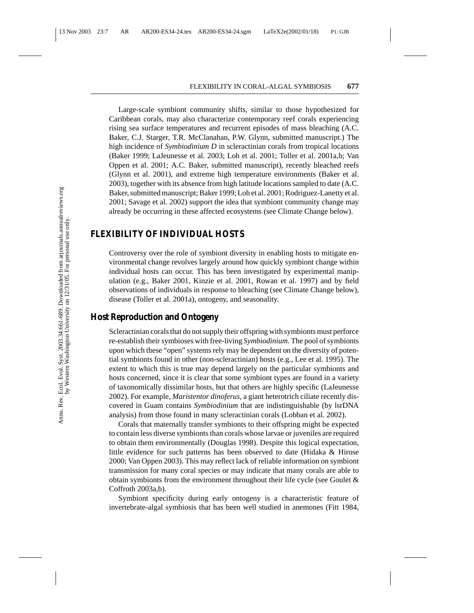Large-scale symbiont community shifts, similar to those hypothesized for Caribbean corals, may also characterize contemporary reef corals experiencing rising sea surface temperatures and recurrent episodes of mass bleaching (A.C. Baker, C.J. Starger, T.R. McClanahan, P.W. Glynn, submitted manuscript.) The high incidence of *Symbiodinium D* in scleractinian corals from tropical locations (Baker 1999; LaJeunesse et al. 2003; Loh et al. 2001; Toller et al. 2001a,b; Van Oppen et al. 2001; A.C. Baker, submitted manuscript), recently bleached reefs (Glynn et al. 2001), and extreme high temperature environments (Baker et al. 2003), together with its absence from high latitude locations sampled to date (A.C. Baker, submitted manuscript; Baker 1999; Loh et al. 2001; Rodriguez-Lanetty et al. 2001; Savage et al. 2002) support the idea that symbiont community change may already be occurring in these affected ecosystems (see Climate Change below).

## **FLEXIBILITY OF INDIVIDUAL HOSTS**

Controversy over the role of symbiont diversity in enabling hosts to mitigate environmental change revolves largely around how quickly symbiont change within individual hosts can occur. This has been investigated by experimental manipulation (e.g., Baker 2001, Kinzie et al. 2001, Rowan et al. 1997) and by field observations of individuals in response to bleaching (see Climate Change below), disease (Toller et al. 2001a), ontogeny, and seasonality.

## **Host Reproduction and Ontogeny**

Scleractinian corals that do not supply their offspring with symbionts must perforce re-establish their symbioses with free-living *Symbiodinium*. The pool of symbionts upon which these "open" systems rely may be dependent on the diversity of potential symbionts found in other (non-scleractinian) hosts (e.g., Lee et al. 1995). The extent to which this is true may depend largely on the particular symbionts and hosts concerned, since it is clear that some symbiont types are found in a variety of taxonomically dissimilar hosts, but that others are highly specific (LaJeunesse 2002). For example, *Maristentor dinoferus*, a giant heterotrich ciliate recently discovered in Guam contains *Symbiodinium* that are indistinguishable (by lsrDNA analysis) from those found in many scleractinian corals (Lobban et al. 2002).

Corals that maternally transfer symbionts to their offspring might be expected to contain less diverse symbionts than corals whose larvae or juveniles are required to obtain them environmentally (Douglas 1998). Despite this logical expectation, little evidence for such patterns has been observed to date (Hidaka & Hirose 2000; Van Oppen 2003). This may reflect lack of reliable information on symbiont transmission for many coral species or may indicate that many corals are able to obtain symbionts from the environment throughout their life cycle (see Goulet  $\&$ Coffroth 2003a,b).

Symbiont specificity during early ontogeny is a characteristic feature of invertebrate-algal symbiosis that has been well studied in anemones (Fitt 1984,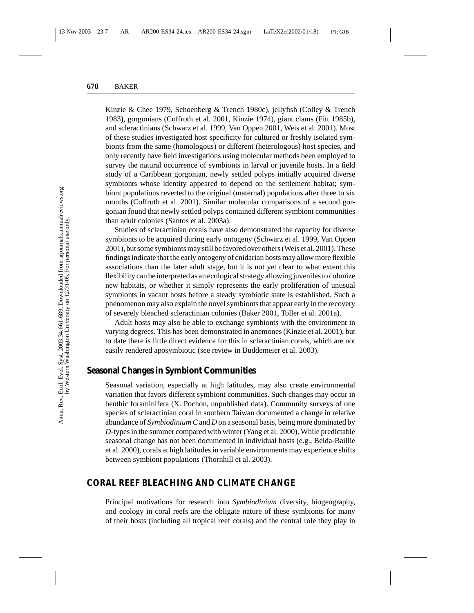Kinzie & Chee 1979, Schoenberg & Trench 1980c), jellyfish (Colley & Trench 1983), gorgonians (Coffroth et al. 2001, Kinzie 1974), giant clams (Fitt 1985b), and scleractinians (Schwarz et al. 1999, Van Oppen 2001, Weis et al. 2001). Most of these studies investigated host specificity for cultured or freshly isolated symbionts from the same (homologous) or different (heterologous) host species, and only recently have field investigations using molecular methods been employed to survey the natural occurrence of symbionts in larval or juvenile hosts. In a field study of a Caribbean gorgonian, newly settled polyps initially acquired diverse symbionts whose identity appeared to depend on the settlement habitat; symbiont populations reverted to the original (maternal) populations after three to six months (Coffroth et al. 2001). Similar molecular comparisons of a second gorgonian found that newly settled polyps contained different symbiont communities than adult colonies (Santos et al. 2003a).

Studies of scleractinian corals have also demonstrated the capacity for diverse symbionts to be acquired during early ontogeny (Schwarz et al. 1999, Van Oppen 2001), but some symbionts may still be favored over others (Weis et al. 2001). These findings indicate that the early ontogeny of cnidarian hosts may allow more flexible associations than the later adult stage, but it is not yet clear to what extent this flexibility can be interpreted as an ecological strategy allowing juveniles to colonize new habitats, or whether it simply represents the early proliferation of unusual symbionts in vacant hosts before a steady symbiotic state is established. Such a phenomenon may also explain the novel symbionts that appear early in the recovery of severely bleached scleractinian colonies (Baker 2001, Toller et al. 2001a).

Adult hosts may also be able to exchange symbionts with the environment in varying degrees. This has been demonstrated in anemones (Kinzie et al. 2001), but to date there is little direct evidence for this in scleractinian corals, which are not easily rendered aposymbiotic (see review in Buddemeier et al. 2003).

#### **Seasonal Changes in Symbiont Communities**

Seasonal variation, especially at high latitudes, may also create environmental variation that favors different symbiont communities. Such changes may occur in benthic foraminifera (X. Pochon, unpublished data). Community surveys of one species of scleractinian coral in southern Taiwan documented a change in relative abundance of *Symbiodinium C* and *D* on a seasonal basis, being more dominated by *D*-types in the summer compared with winter (Yang et al. 2000). While predictable seasonal change has not been documented in individual hosts (e.g., Belda-Baillie et al. 2000), corals at high latitudes in variable environments may experience shifts between symbiont populations (Thornhill et al. 2003).

#### **CORAL REEF BLEACHING AND CLIMATE CHANGE**

Principal motivations for research into *Symbiodinium* diversity, biogeography, and ecology in coral reefs are the obligate nature of these symbionts for many of their hosts (including all tropical reef corals) and the central role they play in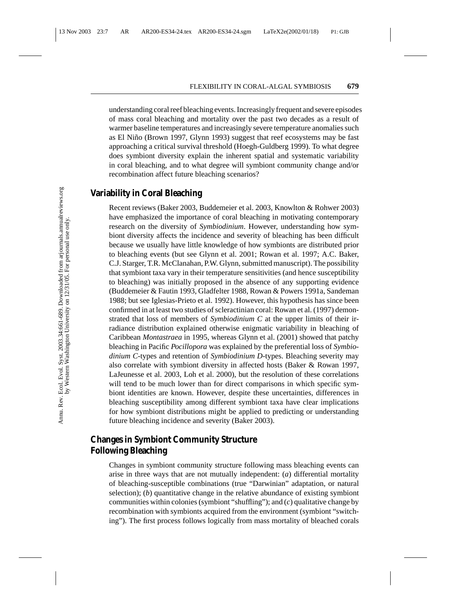understanding coral reef bleaching events. Increasingly frequent and severe episodes of mass coral bleaching and mortality over the past two decades as a result of warmer baseline temperatures and increasingly severe temperature anomalies such as El Niño (Brown 1997, Glynn 1993) suggest that reef ecosystems may be fast approaching a critical survival threshold (Hoegh-Guldberg 1999). To what degree does symbiont diversity explain the inherent spatial and systematic variability in coral bleaching, and to what degree will symbiont community change and/or recombination affect future bleaching scenarios?

## **Variability in Coral Bleaching**

Recent reviews (Baker 2003, Buddemeier et al. 2003, Knowlton & Rohwer 2003) have emphasized the importance of coral bleaching in motivating contemporary research on the diversity of *Symbiodinium*. However, understanding how symbiont diversity affects the incidence and severity of bleaching has been difficult because we usually have little knowledge of how symbionts are distributed prior to bleaching events (but see Glynn et al. 2001; Rowan et al. 1997; A.C. Baker, C.J. Starger, T.R. McClanahan, P.W. Glynn, submitted manuscript). The possibility that symbiont taxa vary in their temperature sensitivities (and hence susceptibility to bleaching) was initially proposed in the absence of any supporting evidence (Buddemeier & Fautin 1993, Gladfelter 1988, Rowan & Powers 1991a, Sandeman 1988; but see Iglesias-Prieto et al. 1992). However, this hypothesis has since been confirmed in at least two studies of scleractinian coral: Rowan et al. (1997) demonstrated that loss of members of *Symbiodinium C* at the upper limits of their irradiance distribution explained otherwise enigmatic variability in bleaching of Caribbean *Montastraea* in 1995, whereas Glynn et al. (2001) showed that patchy bleaching in Pacific *Pocillopora* was explained by the preferential loss of *Symbiodinium C*-types and retention of *Symbiodinium D*-types. Bleaching severity may also correlate with symbiont diversity in affected hosts (Baker & Rowan 1997, LaJeunesse et al. 2003, Loh et al. 2000), but the resolution of these correlations will tend to be much lower than for direct comparisons in which specific symbiont identities are known. However, despite these uncertainties, differences in bleaching susceptibility among different symbiont taxa have clear implications for how symbiont distributions might be applied to predicting or understanding future bleaching incidence and severity (Baker 2003).

## **Changes in Symbiont Community Structure Following Bleaching**

Changes in symbiont community structure following mass bleaching events can arise in three ways that are not mutually independent: (*a*) differential mortality of bleaching-susceptible combinations (true "Darwinian" adaptation, or natural selection); (*b*) quantitative change in the relative abundance of existing symbiont communities within colonies (symbiont "shuffling"); and (*c*) qualitative change by recombination with symbionts acquired from the environment (symbiont "switching"). The first process follows logically from mass mortality of bleached corals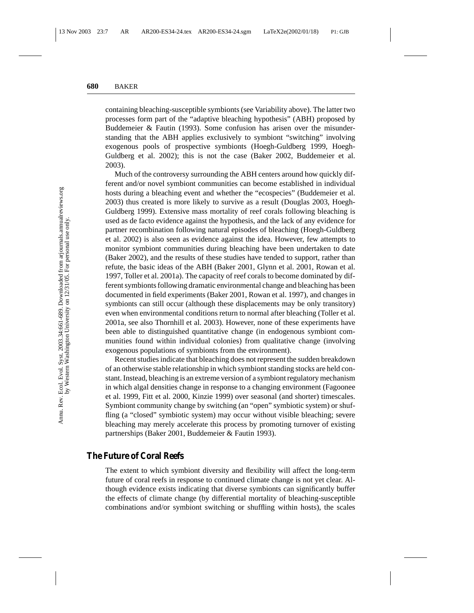containing bleaching-susceptible symbionts (see Variability above). The latter two processes form part of the "adaptive bleaching hypothesis" (ABH) proposed by Buddemeier & Fautin (1993). Some confusion has arisen over the misunderstanding that the ABH applies exclusively to symbiont "switching" involving exogenous pools of prospective symbionts (Hoegh-Guldberg 1999, Hoegh-Guldberg et al. 2002); this is not the case (Baker 2002, Buddemeier et al. 2003).

Much of the controversy surrounding the ABH centers around how quickly different and/or novel symbiont communities can become established in individual hosts during a bleaching event and whether the "ecospecies" (Buddemeier et al. 2003) thus created is more likely to survive as a result (Douglas 2003, Hoegh-Guldberg 1999). Extensive mass mortality of reef corals following bleaching is used as de facto evidence against the hypothesis, and the lack of any evidence for partner recombination following natural episodes of bleaching (Hoegh-Guldberg et al. 2002) is also seen as evidence against the idea. However, few attempts to monitor symbiont communities during bleaching have been undertaken to date (Baker 2002), and the results of these studies have tended to support, rather than refute, the basic ideas of the ABH (Baker 2001, Glynn et al. 2001, Rowan et al. 1997, Toller et al. 2001a). The capacity of reef corals to become dominated by different symbionts following dramatic environmental change and bleaching has been documented in field experiments (Baker 2001, Rowan et al. 1997), and changes in symbionts can still occur (although these displacements may be only transitory) even when environmental conditions return to normal after bleaching (Toller et al. 2001a, see also Thornhill et al. 2003). However, none of these experiments have been able to distinguished quantitative change (in endogenous symbiont communities found within individual colonies) from qualitative change (involving exogenous populations of symbionts from the environment).

Recent studies indicate that bleaching does not represent the sudden breakdown of an otherwise stable relationship in which symbiont standing stocks are held constant. Instead, bleaching is an extreme version of a symbiont regulatory mechanism in which algal densities change in response to a changing environment (Fagoonee et al. 1999, Fitt et al. 2000, Kinzie 1999) over seasonal (and shorter) timescales. Symbiont community change by switching (an "open" symbiotic system) or shuffling (a "closed" symbiotic system) may occur without visible bleaching; severe bleaching may merely accelerate this process by promoting turnover of existing partnerships (Baker 2001, Buddemeier & Fautin 1993).

#### **The Future of Coral Reefs**

The extent to which symbiont diversity and flexibility will affect the long-term future of coral reefs in response to continued climate change is not yet clear. Although evidence exists indicating that diverse symbionts can significantly buffer the effects of climate change (by differential mortality of bleaching-susceptible combinations and/or symbiont switching or shuffling within hosts), the scales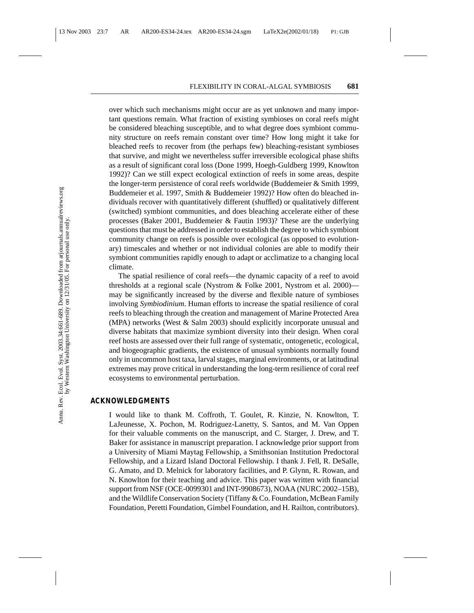over which such mechanisms might occur are as yet unknown and many important questions remain. What fraction of existing symbioses on coral reefs might be considered bleaching susceptible, and to what degree does symbiont community structure on reefs remain constant over time? How long might it take for bleached reefs to recover from (the perhaps few) bleaching-resistant symbioses that survive, and might we nevertheless suffer irreversible ecological phase shifts as a result of significant coral loss (Done 1999, Hoegh-Guldberg 1999, Knowlton 1992)? Can we still expect ecological extinction of reefs in some areas, despite the longer-term persistence of coral reefs worldwide (Buddemeier & Smith 1999, Buddemeier et al. 1997, Smith & Buddemeier 1992)? How often do bleached individuals recover with quantitatively different (shuffled) or qualitatively different (switched) symbiont communities, and does bleaching accelerate either of these processes (Baker 2001, Buddemeier & Fautin 1993)? These are the underlying questions that must be addressed in order to establish the degree to which symbiont community change on reefs is possible over ecological (as opposed to evolutionary) timescales and whether or not individual colonies are able to modify their symbiont communities rapidly enough to adapt or acclimatize to a changing local climate.

The spatial resilience of coral reefs—the dynamic capacity of a reef to avoid thresholds at a regional scale (Nystrom & Folke 2001, Nystrom et al. 2000) may be significantly increased by the diverse and flexible nature of symbioses involving *Symbiodinium*. Human efforts to increase the spatial resilience of coral reefs to bleaching through the creation and management of Marine Protected Area (MPA) networks (West & Salm 2003) should explicitly incorporate unusual and diverse habitats that maximize symbiont diversity into their design. When coral reef hosts are assessed over their full range of systematic, ontogenetic, ecological, and biogeographic gradients, the existence of unusual symbionts normally found only in uncommon host taxa, larval stages, marginal environments, or at latitudinal extremes may prove critical in understanding the long-term resilience of coral reef ecosystems to environmental perturbation.

#### **ACKNOWLEDGMENTS**

I would like to thank M. Coffroth, T. Goulet, R. Kinzie, N. Knowlton, T. LaJeunesse, X. Pochon, M. Rodriguez-Lanetty, S. Santos, and M. Van Oppen for their valuable comments on the manuscript, and C. Starger, J. Drew, and T. Baker for assistance in manuscript preparation. I acknowledge prior support from a University of Miami Maytag Fellowship, a Smithsonian Institution Predoctoral Fellowship, and a Lizard Island Doctoral Fellowship. I thank J. Fell, R. DeSalle, G. Amato, and D. Melnick for laboratory facilities, and P. Glynn, R. Rowan, and N. Knowlton for their teaching and advice. This paper was written with financial support from NSF (OCE-0099301 and INT-9908673), NOAA (NURC 2002–15B), and the Wildlife Conservation Society (Tiffany & Co. Foundation, McBean Family Foundation, Peretti Foundation, Gimbel Foundation, and H. Railton, contributors).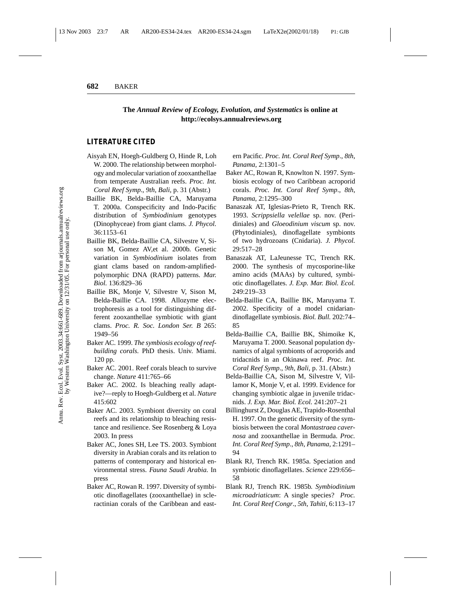#### **The** *Annual Review of Ecology, Evolution, and Systematics* **is online at http://ecolsys.annualreviews.org**

#### **LITERATURE CITED**

- Aisyah EN, Hoegh-Guldberg O, Hinde R, Loh W. 2000. The relationship between morphology and molecular variation of zooxanthellae from temperate Australian reefs. *Proc. Int. Coral Reef Symp*., *9th*, *Bali*, p. 31 (Abstr.)
- Baillie BK, Belda-Baillie CA, Maruyama T. 2000a. Conspecificity and Indo-Pacific distribution of *Symbiodinium* genotypes (Dinophyceae) from giant clams. *J. Phycol.* 36:1153–61
- Baillie BK, Belda-Baillie CA, Silvestre V, Sison M, Gomez AV,et al. 2000b. Genetic variation in *Symbiodinium* isolates from giant clams based on random-amplifiedpolymorphic DNA (RAPD) patterns. *Mar. Biol.* 136:829–36
- Baillie BK, Monje V, Silvestre V, Sison M, Belda-Baillie CA. 1998. Allozyme electrophoresis as a tool for distinguishing different zooxanthellae symbiotic with giant clams. *Proc. R. Soc. London Ser. B* 265: 1949–56
- Baker AC. 1999. *The symbiosis ecology of reefbuilding corals.* PhD thesis. Univ. Miami. 120 pp.
- Baker AC. 2001. Reef corals bleach to survive change. *Nature* 411:765–66
- Baker AC. 2002. Is bleaching really adaptive?—reply to Hoegh-Guldberg et al. *Nature* 415:602
- Baker AC. 2003. Symbiont diversity on coral reefs and its relationship to bleaching resistance and resilience. See Rosenberg & Loya 2003. In press
- Baker AC, Jones SH, Lee TS. 2003. Symbiont diversity in Arabian corals and its relation to patterns of contemporary and historical environmental stress. *Fauna Saudi Arabia.* In press
- Baker AC, Rowan R. 1997. Diversity of symbiotic dinoflagellates (zooxanthellae) in scleractinian corals of the Caribbean and east-

ern Pacific. *Proc. Int. Coral Reef Symp*., *8th*, *Panama*, 2:1301–5

- Baker AC, Rowan R, Knowlton N. 1997. Symbiosis ecology of two Caribbean acroporid corals. *Proc. Int. Coral Reef Symp*., *8th*, *Panama*, 2:1295–300
- Banaszak AT, Iglesias-Prieto R, Trench RK. 1993. *Scrippsiella velellae* sp. nov. (Peridiniales) and *Gloeodinium viscum* sp. nov. (Phytodiniales), dinoflagellate symbionts of two hydrozoans (Cnidaria). *J. Phycol.* 29:517–28
- Banaszak AT, LaJeunesse TC, Trench RK. 2000. The synthesis of mycosporine-like amino acids (MAAs) by cultured, symbiotic dinoflagellates. *J. Exp. Mar. Biol. Ecol.* 249:219–33
- Belda-Baillie CA, Baillie BK, Maruyama T. 2002. Specificity of a model cnidariandinoflagellate symbiosis. *Biol. Bull.* 202:74– 85
- Belda-Baillie CA, Baillie BK, Shimoike K, Maruyama T. 2000. Seasonal population dynamics of algal symbionts of acroporids and tridacnids in an Okinawa reef. *Proc. Int. Coral Reef Symp*., *9th*, *Bali*, p. 31. (Abstr.)
- Belda-Baillie CA, Sison M, Silvestre V, Villamor K, Monje V, et al. 1999. Evidence for changing symbiotic algae in juvenile tridacnids. *J. Exp. Mar. Biol. Ecol.* 241:207–21
- Billinghurst Z, Douglas AE, Trapido-Rosenthal H. 1997. On the genetic diversity of the symbiosis between the coral *Montastraea cavernosa* and zooxanthellae in Bermuda. *Proc. Int. Coral Reef Symp*., *8th*, *Panama*, 2:1291– 94
- Blank RJ, Trench RK. 1985a. Speciation and symbiotic dinoflagellates. *Science* 229:656– 58
- Blank RJ, Trench RK. 1985b. *Symbiodinium microadriaticum*: A single species? *Proc. Int. Coral Reef Congr*., *5th*, *Tahiti*, 6:113–17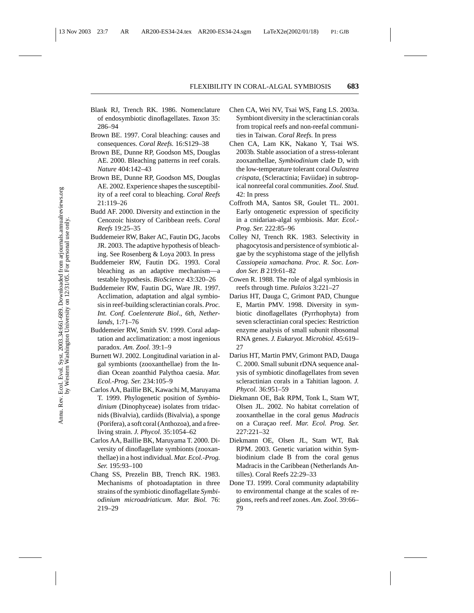- Blank RJ, Trench RK. 1986. Nomenclature of endosymbiotic dinoflagellates. *Taxon* 35: 286–94
- Brown BE. 1997. Coral bleaching: causes and consequences. *Coral Reefs.* 16:S129–38
- Brown BE, Dunne RP, Goodson MS, Douglas AE. 2000. Bleaching patterns in reef corals. *Nature* 404:142–43
- Brown BE, Dunne RP, Goodson MS, Douglas AE. 2002. Experience shapes the susceptibility of a reef coral to bleaching. *Coral Reefs* 21:119–26
- Budd AF. 2000. Diversity and extinction in the Cenozoic history of Caribbean reefs. *Coral Reefs* 19:25–35
- Buddemeier RW, Baker AC, Fautin DG, Jacobs JR. 2003. The adaptive hypothesis of bleaching. See Rosenberg & Loya 2003. In press
- Buddemeier RW, Fautin DG. 1993. Coral bleaching as an adaptive mechanism—a testable hypothesis. *BioScience* 43:320–26
- Buddemeier RW, Fautin DG, Ware JR. 1997. Acclimation, adaptation and algal symbiosis in reef-building scleractinian corals. *Proc. Int. Conf. Coelenterate Biol*., *6th*, *Netherlands*, 1:71–76
- Buddemeier RW, Smith SV. 1999. Coral adaptation and acclimatization: a most ingenious paradox. *Am. Zool.* 39:1–9
- Burnett WJ. 2002. Longitudinal variation in algal symbionts (zooxanthellae) from the Indian Ocean zoanthid Palythoa caesia. *Mar. Ecol.-Prog. Ser.* 234:105–9
- Carlos AA, Baillie BK, Kawachi M, Maruyama T. 1999. Phylogenetic position of *Symbiodinium* (Dinophyceae) isolates from tridacnids (Bivalvia), cardiids (Bivalvia), a sponge (Porifera), a soft coral (Anthozoa), and a freeliving strain. *J. Phycol.* 35:1054–62
- Carlos AA, Baillie BK, Maruyama T. 2000. Diversity of dinoflagellate symbionts (zooxanthellae) in a host individual. *Mar. Ecol.-Prog. Ser.* 195:93–100
- Chang SS, Prezelin BB, Trench RK. 1983. Mechanisms of photoadaptation in three strains of the symbiotic dinoflagellate *Symbiodinium microadriaticum*. *Mar. Biol.* 76: 219–29
- Chen CA, Wei NV, Tsai WS, Fang LS. 2003a. Symbiont diversity in the scleractinian corals from tropical reefs and non-reefal communities in Taiwan. *Coral Reefs.* In press
- Chen CA, Lam KK, Nakano Y, Tsai WS. 2003b. Stable association of a stress-tolerant zooxanthellae, *Symbiodinium* clade D, with the low-temperature tolerant coral *Oulastrea crispata*, (Scleractinia; Faviidae) in subtropical nonreefal coral communities. *Zool. Stud.* 42: In press
- Coffroth MA, Santos SR, Goulet TL. 2001. Early ontogenetic expression of specificity in a cnidarian-algal symbiosis. *Mar. Ecol.- Prog. Ser.* 222:85–96
- Colley NJ, Trench RK. 1983. Selectivity in phagocytosis and persistence of symbiotic algae by the scyphistoma stage of the jellyfish *Cassiopeia xamachana*. *Proc. R. Soc. London Ser. B* 219:61–82
- Cowen R. 1988. The role of algal symbiosis in reefs through time. *Palaios* 3:221–27
- Darius HT, Dauga C, Grimont PAD, Chungue E, Martin PMV. 1998. Diversity in symbiotic dinoflagellates (Pyrrhophyta) from seven scleractinian coral species: Restriction enzyme analysis of small subunit ribosomal RNA genes. *J. Eukaryot. Microbiol.* 45:619–  $27$
- Darius HT, Martin PMV, Grimont PAD, Dauga C. 2000. Small subunit rDNA sequence analysis of symbiotic dinoflagellates from seven scleractinian corals in a Tahitian lagoon. *J. Phycol.* 36:951–59
- Diekmann OE, Bak RPM, Tonk L, Stam WT, Olsen JL. 2002. No habitat correlation of zooxanthellae in the coral genus *Madracis* on a Curaçao reef. Mar. Ecol. Prog. Ser. 227:221–32
- Diekmann OE, Olsen JL, Stam WT, Bak RPM. 2003. Genetic variation within Symbiodinium clade B from the coral genus Madracis in the Caribbean (Netherlands Antilles). Coral Reefs 22:29–33
- Done TJ. 1999. Coral community adaptability to environmental change at the scales of regions, reefs and reef zones. *Am. Zool.* 39:66– 79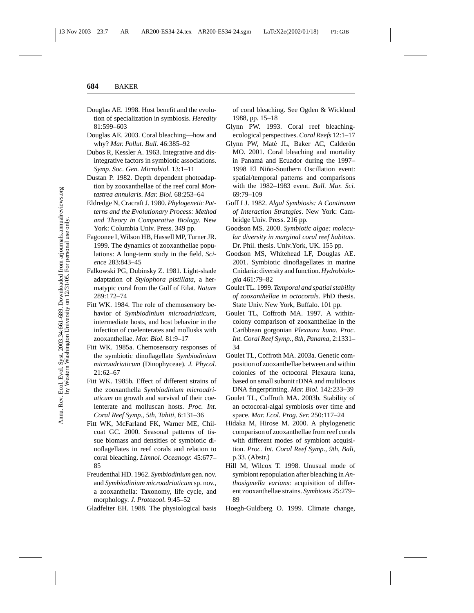- Douglas AE. 1998. Host benefit and the evolution of specialization in symbiosis. *Heredity* 81:599–603
- Douglas AE. 2003. Coral bleaching—how and why? *Mar. Pollut. Bull.* 46:385–92
- Dubos R, Kessler A. 1963. Integrative and disintegrative factors in symbiotic associations. *Symp. Soc. Gen. Microbiol.* 13:1–11
- Dustan P. 1982. Depth dependent photoadaption by zooxanthellae of the reef coral *Montastrea annularis*. *Mar. Biol.* 68:253–64
- Eldredge N, Cracraft J. 1980. *Phylogenetic Patterns and the Evolutionary Process: Method and Theory in Comparative Biology*. New York: Columbia Univ. Press. 349 pp.
- Fagoonee I, Wilson HB, Hassell MP, Turner JR. 1999. The dynamics of zooxanthellae populations: A long-term study in the field. *Science* 283:843–45
- Falkowski PG, Dubinsky Z. 1981. Light-shade adaptation of *Stylophora pistillata*, a hermatypic coral from the Gulf of Eilat. *Nature* 289:172–74
- Fitt WK. 1984. The role of chemosensory behavior of *Symbiodinium microadriaticum*, intermediate hosts, and host behavior in the infection of coelenterates and mollusks with zooxanthellae. *Mar. Biol.* 81:9–17
- Fitt WK. 1985a. Chemosensory responses of the symbiotic dinoflagellate *Symbiodinium microadriaticum* (Dinophyceae). *J. Phycol.* 21:62–67
- Fitt WK. 1985b. Effect of different strains of the zooxanthella *Symbiodinium microadriaticum* on growth and survival of their coelenterate and molluscan hosts. *Proc. Int. Coral Reef Symp*., *5th*, *Tahiti*, 6:131–36
- Fitt WK, McFarland FK, Warner ME, Chilcoat GC. 2000. Seasonal patterns of tissue biomass and densities of symbiotic dinoflagellates in reef corals and relation to coral bleaching. *Limnol. Oceanogr.* 45:677– 85
- Freudenthal HD. 1962. *Symbiodinium* gen. nov. and *Symbiodinium microadriaticum* sp. nov., a zooxanthella: Taxonomy, life cycle, and morphology. *J. Protozool.* 9:45–52
- Gladfelter EH. 1988. The physiological basis

of coral bleaching. See Ogden & Wicklund 1988, pp. 15–18

- Glynn PW. 1993. Coral reef bleachingecological perspectives.*Coral Reefs* 12:1–17
- Glynn PW, Maté JL, Baker AC, Calderón MO. 2001. Coral bleaching and mortality in Panamá and Ecuador during the 1997– 1998 El Niño-Southern Oscillation event: spatial/temporal patterns and comparisons with the 1982–1983 event. *Bull. Mar. Sci.* 69:79–109
- Goff LJ. 1982. *Algal Symbiosis: A Continuum of Interaction Strategies*. New York: Cambridge Univ. Press. 216 pp.
- Goodson MS. 2000. *Symbiotic algae: molecular diversity in marginal coral reef habitats.* Dr. Phil. thesis. Univ.York, UK. 155 pp.
- Goodson MS, Whitehead LF, Douglas AE. 2001. Symbiotic dinoflagellates in marine Cnidaria: diversity and function.*Hydrobiologia* 461:79–82
- Goulet TL. 1999. *Temporal and spatial stability of zooxanthellae in octocorals*. PhD thesis. State Univ. New York, Buffalo. 101 pp.
- Goulet TL, Coffroth MA. 1997. A withincolony comparison of zooxanthellae in the Caribbean gorgonian *Plexaura kuna*. *Proc. Int. Coral Reef Symp*., *8th*, *Panama*, 2:1331– 34
- Goulet TL, Coffroth MA. 2003a. Genetic composition of zooxanthellae between and within colonies of the octocoral Plexaura kuna, based on small subunit rDNA and multilocus DNA fingerprinting. *Mar. Biol.* 142:233–39
- Goulet TL, Coffroth MA. 2003b. Stability of an octocoral-algal symbiosis over time and space. *Mar. Ecol. Prog. Ser.* 250:117–24
- Hidaka M, Hirose M. 2000. A phylogenetic comparison of zooxanthellae from reef corals with different modes of symbiont acquisition. *Proc. Int. Coral Reef Symp*., *9th*, *Bali*, p.33. (Abstr.)
- Hill M, Wilcox T. 1998. Unusual mode of symbiont repopulation after bleaching in *Anthosigmella varians*: acquisition of different zooxanthellae strains. *Symbiosis* 25:279– 89
- Hoegh-Guldberg O. 1999. Climate change,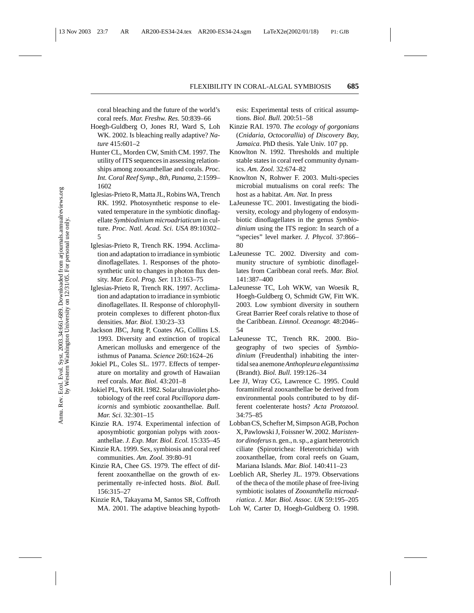coral bleaching and the future of the world's coral reefs. *Mar. Freshw. Res.* 50:839–66

- Hoegh-Guldberg O, Jones RJ, Ward S, Loh WK. 2002. Is bleaching really adaptive? *Nature* 415:601–2
- Hunter CL, Morden CW, Smith CM. 1997. The utility of ITS sequences in assessing relationships among zooxanthellae and corals. *Proc. Int. Coral Reef Symp*., *8th*, *Panama*, 2:1599– 1602
- Iglesias-Prieto R, Matta JL, Robins WA, Trench RK. 1992. Photosynthetic response to elevated temperature in the symbiotic dinoflagellate *Symbiodinium microadriaticum* in culture. *Proc. Natl. Acad. Sci. USA* 89:10302– 5
- Iglesias-Prieto R, Trench RK. 1994. Acclimation and adaptation to irradiance in symbiotic dinoflagellates. 1. Responses of the photosynthetic unit to changes in photon flux density. *Mar. Ecol. Prog. Ser.* 113:163–75
- Iglesias-Prieto R, Trench RK. 1997. Acclimation and adaptation to irradiance in symbiotic dinoflagellates. II. Response of chlorophyllprotein complexes to different photon-flux densities. *Mar. Biol.* 130:23–33
- Jackson JBC, Jung P, Coates AG, Collins LS. 1993. Diversity and extinction of tropical American mollusks and emergence of the isthmus of Panama. *Science* 260:1624–26
- Jokiel PL, Coles SL. 1977. Effects of temperature on mortality and growth of Hawaiian reef corals. *Mar. Biol.* 43:201–8
- Jokiel PL, York RH. 1982. Solar ultraviolet photobiology of the reef coral *Pocillopora damicornis* and symbiotic zooxanthellae. *Bull. Mar. Sci.* 32:301–15
- Kinzie RA. 1974. Experimental infection of aposymbiotic gorgonian polyps with zooxanthellae. *J. Exp. Mar. Biol. Ecol.* 15:335–45
- Kinzie RA. 1999. Sex, symbiosis and coral reef communities. *Am. Zool.* 39:80–91
- Kinzie RA, Chee GS. 1979. The effect of different zooxanthellae on the growth of experimentally re-infected hosts. *Biol. Bull.* 156:315–27
- Kinzie RA, Takayama M, Santos SR, Coffroth MA. 2001. The adaptive bleaching hypoth-

esis: Experimental tests of critical assumptions. *Biol. Bull.* 200:51–58

- Kinzie RAI. 1970. *The ecology of gorgonians* (*Cnidaria*, *Octocorallia*) *of Discovery Bay, Jamaica*. PhD thesis. Yale Univ. 107 pp.
- Knowlton N. 1992. Thresholds and multiple stable states in coral reef community dynamics. *Am. Zool.* 32:674–82
- Knowlton N, Rohwer F. 2003. Multi-species microbial mutualisms on coral reefs: The host as a habitat. *Am. Nat.* In press
- LaJeunesse TC. 2001. Investigating the biodiversity, ecology and phylogeny of endosymbiotic dinoflagellates in the genus *Symbiodinium* using the ITS region: In search of a "species" level marker. *J. Phycol.* 37:866– 80
- LaJeunesse TC. 2002. Diversity and community structure of symbiotic dinoflagellates from Caribbean coral reefs. *Mar. Biol.* 141:387–400
- LaJeunesse TC, Loh WKW, van Woesik R, Hoegh-Guldberg O, Schmidt GW, Fitt WK. 2003. Low symbiont diversity in southern Great Barrier Reef corals relative to those of the Caribbean. *Limnol. Oceanogr.* 48:2046– 54
- LaJeunesse TC, Trench RK. 2000. Biogeography of two species of *Symbiodinium* (Freudenthal) inhabiting the intertidal sea anemone*Anthopleura elegantissima* (Brandt). *Biol. Bull.* 199:126–34
- Lee JJ, Wray CG, Lawrence C. 1995. Could foraminiferal zooxanthellae be derived from environmental pools contributed to by different coelenterate hosts? *Acta Protozool.* 34:75–85
- Lobban CS, Schefter M, Simpson AGB, Pochon X, Pawlowski J, Foissner W. 2002. *Maristentor dinoferus* n. gen., n. sp., a giant heterotrich ciliate (Spirotrichea: Heterotrichida) with zooxanthellae, from coral reefs on Guam, Mariana Islands. *Mar. Biol.* 140:411–23
- Loeblich AR, Sherley JL. 1979. Observations of the theca of the motile phase of free-living symbiotic isolates of *Zooxanthella microadriatica*. *J. Mar. Biol. Assoc. UK* 59:195–205
- Loh W, Carter D, Hoegh-Guldberg O. 1998.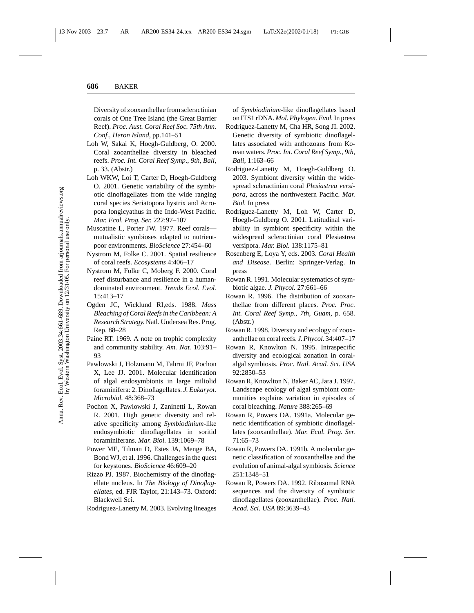Diversity of zooxanthellae from scleractinian corals of One Tree Island (the Great Barrier Reef). *Proc. Aust. Coral Reef Soc. 75th Ann. Conf*., *Heron Island*, pp.141–51

- Loh W, Sakai K, Hoegh-Guldberg, O. 2000. Coral zooanthellae diversity in bleached reefs. *Proc. Int. Coral Reef Symp*., *9th*, *Bali*, p. 33. (Abstr.)
- Loh WKW, Loi T, Carter D, Hoegh-Guldberg O. 2001. Genetic variability of the symbiotic dinoflagellates from the wide ranging coral species Seriatopora hystrix and Acropora longicyathus in the Indo-West Pacific. *Mar. Ecol. Prog. Ser.* 222:97–107
- Muscatine L, Porter JW. 1977. Reef corals mutualistic symbioses adapted to nutrientpoor environments. *BioScience* 27:454–60
- Nystrom M, Folke C. 2001. Spatial resilience of coral reefs. *Ecosystems* 4:406–17
- Nystrom M, Folke C, Moberg F. 2000. Coral reef disturbance and resilience in a humandominated environment. *Trends Ecol. Evol.* 15:413–17
- Ogden JC, Wicklund RI,eds. 1988. *Mass Bleaching of Coral Reefs in the Caribbean: A Research Strategy.* Natl. Undersea Res. Prog. Rep. 88–28
- Paine RT. 1969. A note on trophic complexity and community stability. *Am. Nat.* 103:91– 93
- Pawlowski J, Holzmann M, Fahrni JF, Pochon X, Lee JJ. 2001. Molecular identification of algal endosymbionts in large miliolid foraminifera: 2. Dinoflagellates. *J. Eukaryot. Microbiol.* 48:368–73
- Pochon X, Pawlowski J, Zaninetti L, Rowan R. 2001. High genetic diversity and relative specificity among *Symbiodinium*-like endosymbiotic dinoflagellates in soritid foraminiferans. *Mar. Biol.* 139:1069–78
- Power ME, Tilman D, Estes JA, Menge BA, Bond WJ, et al. 1996. Challenges in the quest for keystones. *BioScience* 46:609–20
- Rizzo PJ. 1987. Biochemistry of the dinoflagellate nucleus. In *The Biology of Dinoflagellates*, ed. FJR Taylor, 21:143–73. Oxford: Blackwell Sci.
- Rodriguez-Lanetty M. 2003. Evolving lineages

of *Symbiodinium*-like dinoflagellates based on ITS1 rDNA. *Mol. Phylogen. Evol.*In press

- Rodriguez-Lanetty M, Cha HR, Song JI. 2002. Genetic diversity of symbiotic dinoflagellates associated with anthozoans from Korean waters. *Proc. Int. Coral Reef Symp*., *9th*, *Bali*, 1:163–66
- Rodriguez-Lanetty M, Hoegh-Guldberg O. 2003. Symbiont diversity within the widespread scleractinian coral *Plesiastrea versipora*, across the northwestern Pacific. *Mar. Biol.* In press
- Rodriguez-Lanetty M, Loh W, Carter D, Hoegh-Guldberg O. 2001. Latitudinal variability in symbiont specificity within the widespread scleractinian coral Plesiastrea versipora. *Mar. Biol.* 138:1175–81
- Rosenberg E, Loya Y, eds. 2003. *Coral Health and Disease*. Berlin: Springer-Verlag. In press
- Rowan R. 1991. Molecular systematics of symbiotic algae. *J. Phycol.* 27:661–66
- Rowan R. 1996. The distribution of zooxanthellae from different places. *Proc. Proc. Int. Coral Reef Symp*., *7th*, *Guam*, p. 658. (Abstr.)
- Rowan R. 1998. Diversity and ecology of zooxanthellae on coral reefs. *J. Phycol.* 34:407–17
- Rowan R, Knowlton N. 1995. Intraspecific diversity and ecological zonation in coralalgal symbiosis. *Proc. Natl. Acad. Sci. USA* 92:2850–53
- Rowan R, Knowlton N, Baker AC, Jara J. 1997. Landscape ecology of algal symbiont communities explains variation in episodes of coral bleaching. *Nature* 388:265–69
- Rowan R, Powers DA. 1991a. Molecular genetic identification of symbiotic dinoflagellates (zooxanthellae). *Mar. Ecol. Prog. Ser.* 71:65–73
- Rowan R, Powers DA. 1991b. A molecular genetic classification of zooxanthellae and the evolution of animal-algal symbiosis. *Science* 251:1348–51
- Rowan R, Powers DA. 1992. Ribosomal RNA sequences and the diversity of symbiotic dinoflagellates (zooxanthellae). *Proc. Natl. Acad. Sci. USA* 89:3639–43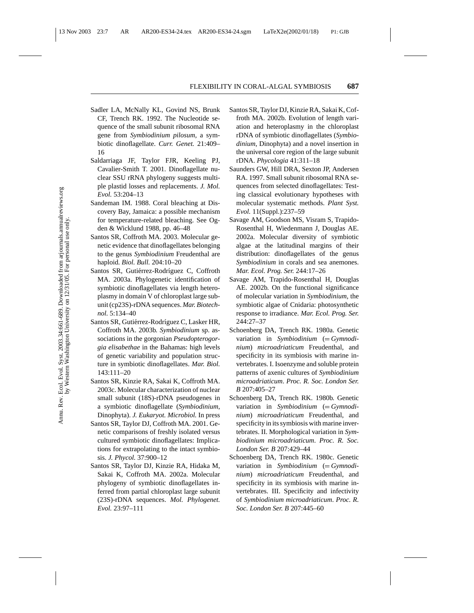- Sadler LA, McNally KL, Govind NS, Brunk CF, Trench RK. 1992. The Nucleotide sequence of the small subunit ribosomal RNA gene from *Symbiodinium pilosum*, a symbiotic dinoflagellate. *Curr. Genet.* 21:409– 16
- Saldarriaga JF, Taylor FJR, Keeling PJ, Cavalier-Smith T. 2001. Dinoflagellate nuclear SSU rRNA phylogeny suggests multiple plastid losses and replacements. *J. Mol. Evol.* 53:204–13
- Sandeman IM. 1988. Coral bleaching at Discovery Bay, Jamaica: a possible mechanism for temperature-related bleaching. See Ogden & Wicklund 1988, pp. 46–48
- Santos SR, Coffroth MA. 2003. Molecular genetic evidence that dinoflagellates belonging to the genus *Symbiodinium* Freudenthal are haploid. *Biol. Bull.* 204:10–20
- Santos SR, Gutiérrez-Rodríguez C, Coffroth MA. 2003a. Phylogenetic identification of symbiotic dinoflagellates via length heteroplasmy in domain V of chloroplast large subunit (cp23S)-rDNA sequences. *Mar. Biotechnol.* 5:134–40
- Santos SR, Gutiérrez-Rodríguez C, Lasker HR, Coffroth MA. 2003b. *Symbiodinium* sp. associations in the gorgonian *Pseudopterogorgia elisabethae* in the Bahamas: high levels of genetic variability and population structure in symbiotic dinoflagellates. *Mar. Biol.* 143:111–20
- Santos SR, Kinzie RA, Sakai K, Coffroth MA. 2003c. Molecular characterization of nuclear small subunit (18S)-rDNA pseudogenes in a symbiotic dinoflagellate (*Symbiodinium*, Dinophyta). *J. Eukaryot. Microbiol.* In press
- Santos SR, Taylor DJ, Coffroth MA. 2001. Genetic comparisons of freshly isolated versus cultured symbiotic dinoflagellates: Implications for extrapolating to the intact symbiosis. *J. Phycol.* 37:900–12
- Santos SR, Taylor DJ, Kinzie RA, Hidaka M, Sakai K, Coffroth MA. 2002a. Molecular phylogeny of symbiotic dinoflagellates inferred from partial chloroplast large subunit (23S)-rDNA sequences. *Mol. Phylogenet. Evol.* 23:97–111
- Santos SR, Taylor DJ, Kinzie RA, Sakai K, Coffroth MA. 2002b. Evolution of length variation and heteroplasmy in the chloroplast rDNA of symbiotic dinoflagellates (*Symbiodinium*, Dinophyta) and a novel insertion in the universal core region of the large subunit rDNA. *Phycologia* 41:311–18
- Saunders GW, Hill DRA, Sexton JP, Andersen RA. 1997. Small subunit ribosomal RNA sequences from selected dinoflagellates: Testing classical evolutionary hypotheses with molecular systematic methods. *Plant Syst. Evol.* 11(Suppl.):237–59
- Savage AM, Goodson MS, Visram S, Trapido-Rosenthal H, Wiedenmann J, Douglas AE. 2002a. Molecular diversity of symbiotic algae at the latitudinal margins of their distribution: dinoflagellates of the genus *Symbiodinium* in corals and sea anemones. *Mar. Ecol. Prog. Ser.* 244:17–26
- Savage AM, Trapido-Rosenthal H, Douglas AE. 2002b. On the functional significance of molecular variation in *Symbiodinium*, the symbiotic algae of Cnidaria: photosynthetic response to irradiance. *Mar. Ecol. Prog. Ser.* 244:27–37
- Schoenberg DA, Trench RK. 1980a. Genetic variation in *Symbiodinium* (= *Gymnodinium*) *microadriaticum* Freudenthal, and specificity in its symbiosis with marine invertebrates. I. Isoenzyme and soluble protein patterns of axenic cultures of *Symbiodinium microadriaticum*. *Proc. R. Soc. London Ser. B* 207:405–27
- Schoenberg DA, Trench RK. 1980b. Genetic variation in *Symbiodinium* (= *Gymnodinium*) *microadriaticum* Freudenthal, and specificity in its symbiosis with marine invertebrates. II. Morphological variation in *Symbiodinium microadriaticum*. *Proc. R. Soc. London Ser. B* 207:429–44
- Schoenberg DA, Trench RK. 1980c. Genetic variation in *Symbiodinium* (= *Gymnodinium*) *microadriaticum* Freudenthal, and specificity in its symbiosis with marine invertebrates. III. Specificity and infectivity of *Symbiodinium microadriaticum*. *Proc. R. Soc. London Ser. B* 207:445–60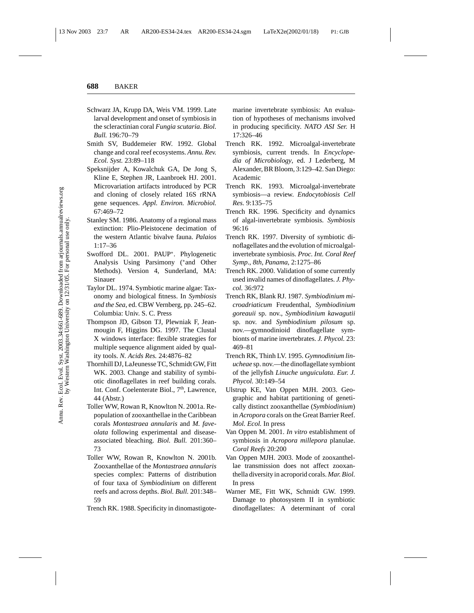- Schwarz JA, Krupp DA, Weis VM. 1999. Late larval development and onset of symbiosis in the scleractinian coral *Fungia scutaria*. *Biol. Bull.* 196:70–79
- Smith SV, Buddemeier RW. 1992. Global change and coral reef ecosystems. *Annu. Rev. Ecol. Syst.* 23:89–118
- Speksnijder A, Kowalchuk GA, De Jong S, Kline E, Stephen JR, Laanbroek HJ. 2001. Microvariation artifacts introduced by PCR and cloning of closely related 16S rRNA gene sequences. *Appl. Environ. Microbiol.* 67:469–72
- Stanley SM. 1986. Anatomy of a regional mass extinction: Plio-Pleistocene decimation of the western Atlantic bivalve fauna. *Palaios* 1:17–36
- Swofford DL. 2001. PAUP∗. Phylogenetic Analysis Using Parsimony (∗and Other Methods). Version 4, Sunderland, MA: Sinauer
- Taylor DL. 1974. Symbiotic marine algae: Taxonomy and biological fitness. In *Symbiosis and the Sea*, ed. CBW Vernberg, pp. 245–62. Columbia: Univ. S. C. Press
- Thompson JD, Gibson TJ, Plewniak F, Jeanmougin F, Higgins DG. 1997. The Clustal X windows interface: flexible strategies for multiple sequence alignment aided by quality tools. *N. Acids Res.* 24:4876–82
- Thornhill DJ, LaJeunesse TC, Schmidt GW, Fitt WK. 2003. Change and stability of symbiotic dinoflagellates in reef building corals. Int. Conf. Coelenterate Biol., 7<sup>th</sup>, Lawrence, 44 (Abstr.)
- Toller WW, Rowan R, Knowlton N. 2001a. Repopulation of zooxanthellae in the Caribbean corals *Montastraea annularis* and *M. faveolata* following experimental and diseaseassociated bleaching. *Biol. Bull.* 201:360– 73
- Toller WW, Rowan R, Knowlton N. 2001b. Zooxanthellae of the *Montastraea annularis* species complex: Patterns of distribution of four taxa of *Symbiodinium* on different reefs and across depths. *Biol. Bull.* 201:348– 59
- Trench RK. 1988. Specificity in dinomastigote-

marine invertebrate symbiosis: An evaluation of hypotheses of mechanisms involved in producing specificity. *NATO ASI Ser.* H 17:326–46

- Trench RK. 1992. Microalgal-invertebrate symbiosis, current trends. In *Encyclopedia of Microbiology*, ed. J Lederberg, M Alexander, BR Bloom, 3:129–42. San Diego: Academic
- Trench RK. 1993. Microalgal-invertebrate symbiosis—a review. *Endocytobiosis Cell Res.* 9:135–75
- Trench RK. 1996. Specificity and dynamics of algal-invertebrate symbiosis. *Symbiosis* 96:16
- Trench RK. 1997. Diversity of symbiotic dinoflagellates and the evolution of microalgalinvertebrate symbiosis. *Proc. Int. Coral Reef Symp*., *8th*, *Panama*, 2:1275–86
- Trench RK. 2000. Validation of some currently used invalid names of dinoflagellates. *J. Phycol.* 36:972
- Trench RK, Blank RJ. 1987. *Symbiodinium microadriaticum* Freudenthal, *Symbiodinium goreauii* sp. nov., *Symbiodinium kawagutii* sp. nov. and *Symbiodinium pilosum* sp. nov.—gymnodinioid dinoflagellate symbionts of marine invertebrates. *J. Phycol.* 23: 469–81
- Trench RK, Thinh LV. 1995. *Gymnodinium linucheae* sp. nov.—the dinoflagellate symbiont of the jellyfish *Linuche unguiculata*. *Eur. J. Phycol.* 30:149–54
- Ulstrup KE, Van Oppen MJH. 2003. Geographic and habitat partitioning of genetically distinct zooxanthellae (*Symbiodinium*) in *Acropora* corals on the Great Barrier Reef. *Mol. Ecol.* In press
- Van Oppen M. 2001. *In vitro* establishment of symbiosis in *Acropora millepora* planulae. *Coral Reefs* 20:200
- Van Oppen MJH. 2003. Mode of zooxanthellae transmission does not affect zooxanthella diversity in acroporid corals. *Mar. Biol.* In press
- Warner ME, Fitt WK, Schmidt GW. 1999. Damage to photosystem II in symbiotic dinoflagellates: A determinant of coral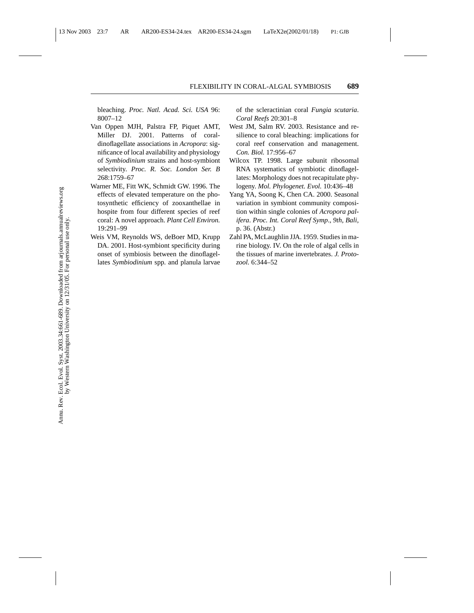bleaching. *Proc. Natl. Acad. Sci. USA* 96: 8007–12

- Van Oppen MJH, Palstra FP, Piquet AMT, Miller DJ. 2001. Patterns of coraldinoflagellate associations in *Acropora*: significance of local availability and physiology of *Symbiodinium* strains and host-symbiont selectivity. *Proc. R. Soc. London Ser. B* 268:1759–67
- Warner ME, Fitt WK, Schmidt GW. 1996. The effects of elevated temperature on the photosynthetic efficiency of zooxanthellae in hospite from four different species of reef coral: A novel approach. *Plant Cell Environ.* 19:291–99
- Weis VM, Reynolds WS, deBoer MD, Krupp DA. 2001. Host-symbiont specificity during onset of symbiosis between the dinoflagellates *Symbiodinium* spp. and planula larvae

of the scleractinian coral *Fungia scutaria*. *Coral Reefs* 20:301–8

- West JM, Salm RV. 2003. Resistance and resilience to coral bleaching: implications for coral reef conservation and management. *Con. Biol.* 17:956–67
- Wilcox TP. 1998. Large subunit ribosomal RNA systematics of symbiotic dinoflagellates: Morphology does not recapitulate phylogeny. *Mol. Phylogenet. Evol.* 10:436–48
- Yang YA, Soong K, Chen CA. 2000. Seasonal variation in symbiont community composition within single colonies of *Acropora palifera*. *Proc. Int. Coral Reef Symp*., *9th*, *Bali*, p. 36. (Abstr.)
- Zahl PA, McLaughlin JJA. 1959. Studies in marine biology. IV. On the role of algal cells in the tissues of marine invertebrates. *J. Protozool.* 6:344–52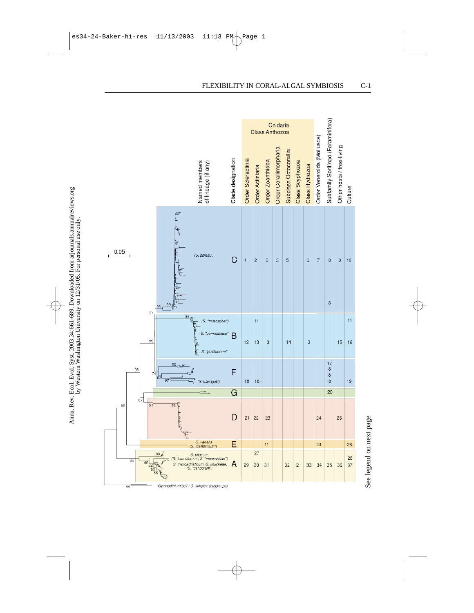

See legend on next page See legend on next page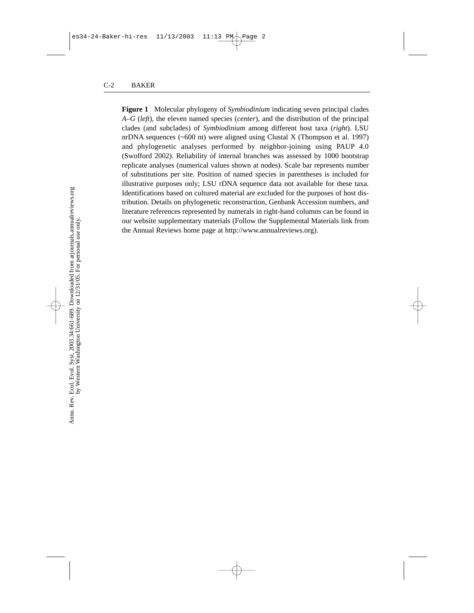**Figure 1** Molecular phylogeny of *Symbiodinium* indicating seven principal clades *A*–*G* (*left*), the eleven named species (*center*), and the distribution of the principal clades (and subclades) of *Symbiodinium* among different host taxa (*right*). LSU nrDNA sequences (~600 nt) were aligned using Clustal X (Thompson et al. 1997) and phylogenetic analyses performed by neighbor-joining using PAUP 4.0 (Swofford 2002). Reliability of internal branches was assessed by 1000 bootstrap replicate analyses (numerical values shown at nodes). Scale bar represents number of substitutions per site. Position of named species in parentheses is included for illustrative purposes only; LSU rDNA sequence data not available for these taxa. Identifications based on cultured material are excluded for the purposes of host distribution. Details on phylogenetic reconstruction, Genbank Accession numbers, and literature references represented by numerals in right-hand columns can be found in our website supplementary materials (Follow the Supplemental Materials link from the Annual Reviews home page at http://www.annualreviews.org).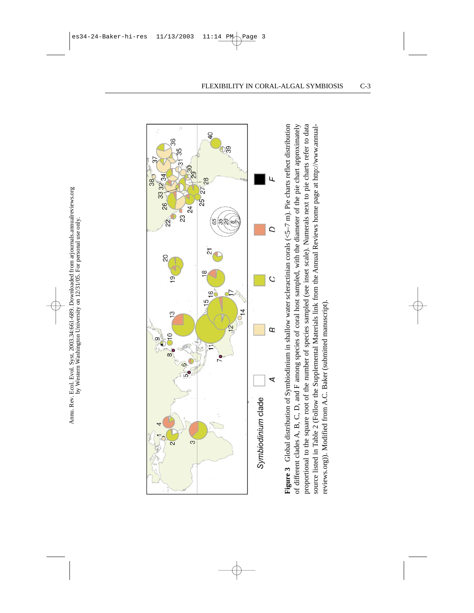

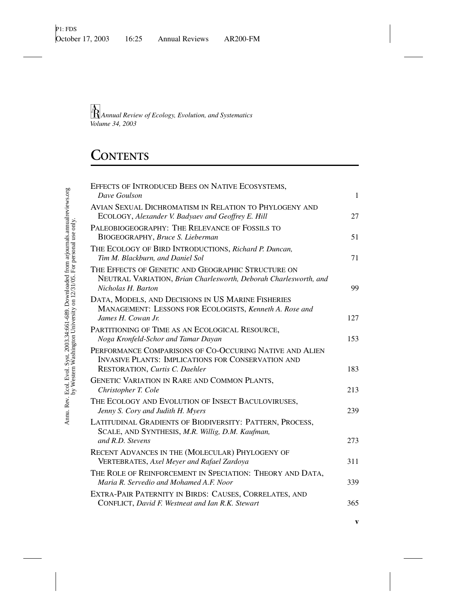# **CONTENTS**

| EFFECTS OF INTRODUCED BEES ON NATIVE ECOSYSTEMS,                                                                                                       |              |
|--------------------------------------------------------------------------------------------------------------------------------------------------------|--------------|
| Dave Goulson                                                                                                                                           | $\mathbf{1}$ |
| AVIAN SEXUAL DICHROMATISM IN RELATION TO PHYLOGENY AND<br>ECOLOGY, Alexander V. Badyaev and Geoffrey E. Hill                                           | 27           |
| PALEOBIOGEOGRAPHY: THE RELEVANCE OF FOSSILS TO<br>BIOGEOGRAPHY, Bruce S. Lieberman                                                                     | 51           |
| THE ECOLOGY OF BIRD INTRODUCTIONS, Richard P. Duncan,<br>Tim M. Blackburn, and Daniel Sol                                                              | 71           |
| THE EFFECTS OF GENETIC AND GEOGRAPHIC STRUCTURE ON<br>NEUTRAL VARIATION, Brian Charlesworth, Deborah Charlesworth, and<br>Nicholas H. Barton           | 99           |
| DATA, MODELS, AND DECISIONS IN US MARINE FISHERIES<br>MANAGEMENT: LESSONS FOR ECOLOGISTS, Kenneth A. Rose and<br>James H. Cowan Jr.                    | 127          |
| PARTITIONING OF TIME AS AN ECOLOGICAL RESOURCE,<br>Noga Kronfeld-Schor and Tamar Dayan                                                                 | 153          |
| PERFORMANCE COMPARISONS OF CO-OCCURING NATIVE AND ALIEN<br><b>INVASIVE PLANTS: IMPLICATIONS FOR CONSERVATION AND</b><br>RESTORATION, Curtis C. Daehler | 183          |
| <b>GENETIC VARIATION IN RARE AND COMMON PLANTS,</b><br>Christopher T. Cole                                                                             | 213          |
| THE ECOLOGY AND EVOLUTION OF INSECT BACULOVIRUSES,<br>Jenny S. Cory and Judith H. Myers                                                                | 239          |
| LATITUDINAL GRADIENTS OF BIODIVERSITY: PATTERN, PROCESS,<br>SCALE, AND SYNTHESIS, M.R. Willig, D.M. Kaufman,                                           |              |
| and R.D. Stevens                                                                                                                                       | 273          |
| <b>RECENT ADVANCES IN THE (MOLECULAR) PHYLOGENY OF</b><br>VERTEBRATES, Axel Meyer and Rafael Zardoya                                                   | 311          |
| THE ROLE OF REINFORCEMENT IN SPECIATION: THEORY AND DATA,<br>Maria R. Servedio and Mohamed A.F. Noor                                                   | 339          |
| EXTRA-PAIR PATERNITY IN BIRDS: CAUSES, CORRELATES, AND<br>CONFLICT, David F. Westneat and Ian R.K. Stewart                                             | 365          |